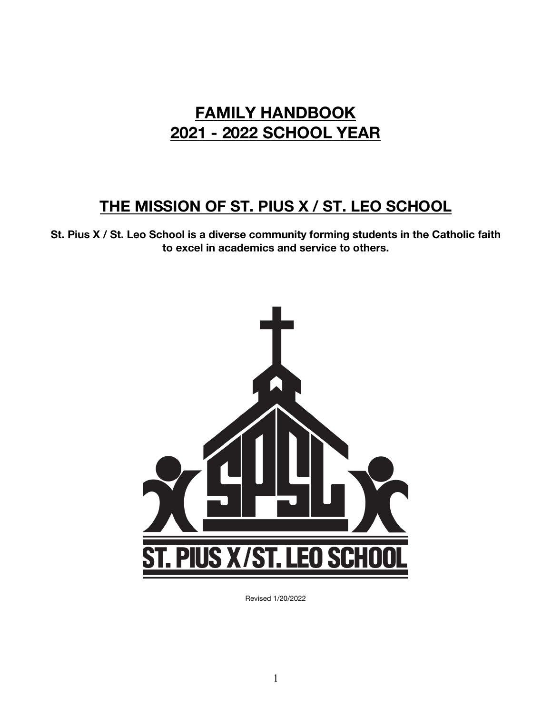# **FAMILY HANDBOOK 2021 - 2022 SCHOOL YEAR**

# **THE MISSION OF ST. PIUS X / ST. LEO SCHOOL**

**St. Pius X / St. Leo School is a diverse community forming students in the Catholic faith to excel in academics and service to others.**



Revised 1/20/2022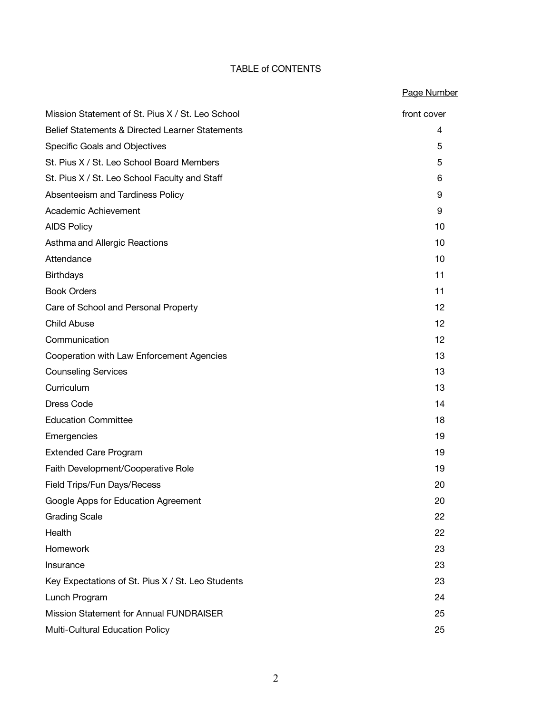# TABLE of CONTENTS

|                                                   | Page Number |
|---------------------------------------------------|-------------|
| Mission Statement of St. Pius X / St. Leo School  | front cover |
| Belief Statements & Directed Learner Statements   | 4           |
| Specific Goals and Objectives                     | 5           |
| St. Pius X / St. Leo School Board Members         | 5           |
| St. Pius X / St. Leo School Faculty and Staff     | 6           |
| Absenteeism and Tardiness Policy                  | 9           |
| <b>Academic Achievement</b>                       | 9           |
| <b>AIDS Policy</b>                                | 10          |
| Asthma and Allergic Reactions                     | 10          |
| Attendance                                        | 10          |
| <b>Birthdays</b>                                  | 11          |
| <b>Book Orders</b>                                | 11          |
| Care of School and Personal Property              | 12          |
| <b>Child Abuse</b>                                | 12          |
| Communication                                     | 12          |
| Cooperation with Law Enforcement Agencies         | 13          |
| <b>Counseling Services</b>                        | 13          |
| Curriculum                                        | 13          |
| Dress Code                                        | 14          |
| <b>Education Committee</b>                        | 18          |
| Emergencies                                       | 19          |
| <b>Extended Care Program</b>                      | 19          |
| Faith Development/Cooperative Role                | 19          |
| <b>Field Trips/Fun Days/Recess</b>                | 20          |
| Google Apps for Education Agreement               | 20          |
| <b>Grading Scale</b>                              | 22          |
| Health                                            | 22          |
| Homework                                          | 23          |
| Insurance                                         | 23          |
| Key Expectations of St. Pius X / St. Leo Students | 23          |
| Lunch Program                                     | 24          |
| Mission Statement for Annual FUNDRAISER           | 25          |
| Multi-Cultural Education Policy                   | 25          |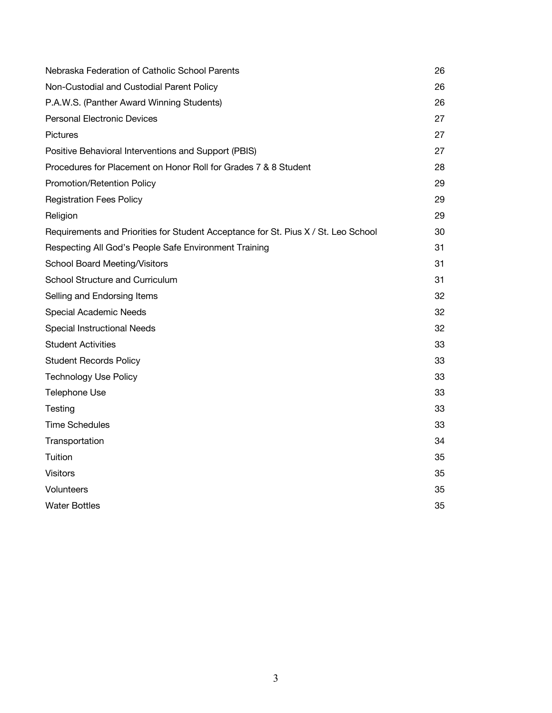| Nebraska Federation of Catholic School Parents                                     | 26 |
|------------------------------------------------------------------------------------|----|
| Non-Custodial and Custodial Parent Policy                                          | 26 |
| P.A.W.S. (Panther Award Winning Students)                                          | 26 |
| <b>Personal Electronic Devices</b>                                                 | 27 |
| <b>Pictures</b>                                                                    | 27 |
| Positive Behavioral Interventions and Support (PBIS)                               | 27 |
| Procedures for Placement on Honor Roll for Grades 7 & 8 Student                    | 28 |
| Promotion/Retention Policy                                                         | 29 |
| <b>Registration Fees Policy</b>                                                    | 29 |
| Religion                                                                           | 29 |
| Requirements and Priorities for Student Acceptance for St. Pius X / St. Leo School | 30 |
| Respecting All God's People Safe Environment Training                              | 31 |
| School Board Meeting/Visitors                                                      | 31 |
| School Structure and Curriculum                                                    | 31 |
| Selling and Endorsing Items                                                        | 32 |
| <b>Special Academic Needs</b>                                                      | 32 |
| Special Instructional Needs                                                        | 32 |
| <b>Student Activities</b>                                                          | 33 |
| <b>Student Records Policy</b>                                                      | 33 |
| <b>Technology Use Policy</b>                                                       | 33 |
| <b>Telephone Use</b>                                                               | 33 |
| Testing                                                                            | 33 |
| <b>Time Schedules</b>                                                              | 33 |
| Transportation                                                                     | 34 |
| Tuition                                                                            | 35 |
| <b>Visitors</b>                                                                    | 35 |
| Volunteers                                                                         | 35 |
| <b>Water Bottles</b>                                                               | 35 |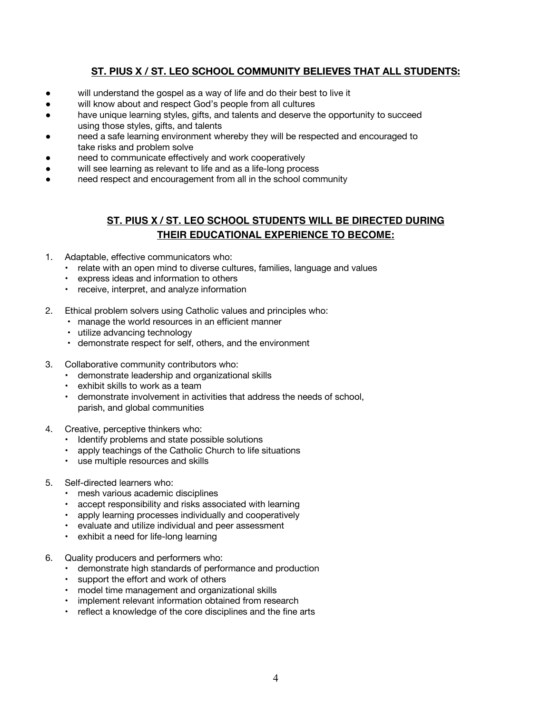## **ST. PIUS X / ST. LEO SCHOOL COMMUNITY BELIEVES THAT ALL STUDENTS:**

- will understand the gospel as a way of life and do their best to live it
- will know about and respect God's people from all cultures
- have unique learning styles, gifts, and talents and deserve the opportunity to succeed using those styles, gifts, and talents
- need a safe learning environment whereby they will be respected and encouraged to take risks and problem solve
- need to communicate effectively and work cooperatively
- will see learning as relevant to life and as a life-long process
- need respect and encouragement from all in the school community

# **ST. PIUS X / ST. LEO SCHOOL STUDENTS WILL BE DIRECTED DURING THEIR EDUCATIONAL EXPERIENCE TO BECOME:**

- 1. Adaptable, effective communicators who:
	- relate with an open mind to diverse cultures, families, language and values
	- express ideas and information to others
	- receive, interpret, and analyze information
- 2. Ethical problem solvers using Catholic values and principles who:
	- manage the world resources in an efficient manner
	- utilize advancing technology
	- demonstrate respect for self, others, and the environment
- 3. Collaborative community contributors who:
	- demonstrate leadership and organizational skills
	- exhibit skills to work as a team
	- demonstrate involvement in activities that address the needs of school, parish, and global communities
- 4. Creative, perceptive thinkers who:
	- Identify problems and state possible solutions
	- apply teachings of the Catholic Church to life situations
	- use multiple resources and skills
- 5. Self-directed learners who:
	- mesh various academic disciplines
	- accept responsibility and risks associated with learning
	- apply learning processes individually and cooperatively
	- evaluate and utilize individual and peer assessment
	- exhibit a need for life-long learning
- 6. Quality producers and performers who:
	- demonstrate high standards of performance and production
	- support the effort and work of others
	- model time management and organizational skills
	- implement relevant information obtained from research
	- reflect a knowledge of the core disciplines and the fine arts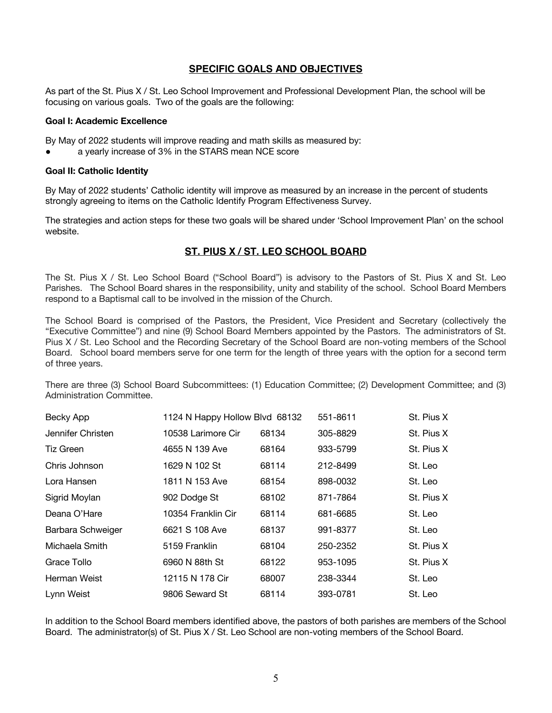## **SPECIFIC GOALS AND OBJECTIVES**

As part of the St. Pius X / St. Leo School Improvement and Professional Development Plan, the school will be focusing on various goals. Two of the goals are the following:

#### **Goal I: Academic Excellence**

By May of 2022 students will improve reading and math skills as measured by:

a yearly increase of 3% in the STARS mean NCE score

## **Goal II: Catholic Identity**

By May of 2022 students' Catholic identity will improve as measured by an increase in the percent of students strongly agreeing to items on the Catholic Identify Program Effectiveness Survey.

The strategies and action steps for these two goals will be shared under 'School Improvement Plan' on the school website.

## **ST. PIUS X / ST. LEO SCHOOL BOARD**

The St. Pius X / St. Leo School Board ("School Board") is advisory to the Pastors of St. Pius X and St. Leo Parishes. The School Board shares in the responsibility, unity and stability of the school. School Board Members respond to a Baptismal call to be involved in the mission of the Church.

The School Board is comprised of the Pastors, the President, Vice President and Secretary (collectively the "Executive Committee") and nine (9) School Board Members appointed by the Pastors. The administrators of St. Pius X / St. Leo School and the Recording Secretary of the School Board are non-voting members of the School Board. School board members serve for one term for the length of three years with the option for a second term of three years.

There are three (3) School Board Subcommittees: (1) Education Committee; (2) Development Committee; and (3) Administration Committee.

| Becky App         | 1124 N Happy Hollow Blvd 68132 |       | 551-8611 | St. Pius X |
|-------------------|--------------------------------|-------|----------|------------|
| Jennifer Christen | 10538 Larimore Cir             | 68134 | 305-8829 | St. Pius X |
| Tiz Green         | 4655 N 139 Ave                 | 68164 | 933-5799 | St. Pius X |
| Chris Johnson     | 1629 N 102 St                  | 68114 | 212-8499 | St. Leo    |
| Lora Hansen       | 1811 N 153 Ave                 | 68154 | 898-0032 | St. Leo    |
| Sigrid Moylan     | 902 Dodge St                   | 68102 | 871-7864 | St. Pius X |
| Deana O'Hare      | 10354 Franklin Cir             | 68114 | 681-6685 | St. Leo    |
| Barbara Schweiger | 6621 S 108 Ave                 | 68137 | 991-8377 | St. Leo    |
| Michaela Smith    | 5159 Franklin                  | 68104 | 250-2352 | St. Pius X |
| Grace Tollo       | 6960 N 88th St                 | 68122 | 953-1095 | St. Pius X |
| Herman Weist      | 12115 N 178 Cir                | 68007 | 238-3344 | St. Leo    |
| Lynn Weist        | 9806 Seward St                 | 68114 | 393-0781 | St. Leo    |

In addition to the School Board members identified above, the pastors of both parishes are members of the School Board. The administrator(s) of St. Pius X / St. Leo School are non-voting members of the School Board.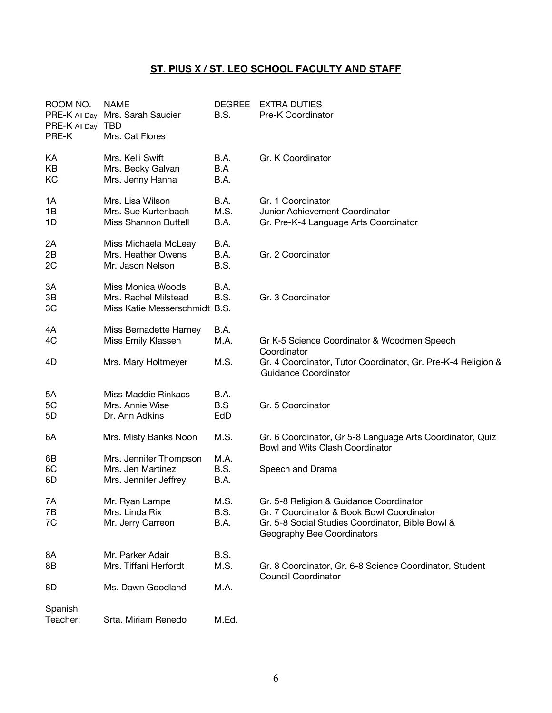# **ST. PIUS X / ST. LEO SCHOOL FACULTY AND STAFF**

| ROOM NO.<br>PRE-K All Day<br>PRE-K All Day<br>PRE-K | <b>NAME</b><br>Mrs. Sarah Saucier<br><b>TBD</b><br>Mrs. Cat Flores         | <b>DEGREE</b><br>B.S. | <b>EXTRA DUTIES</b><br>Pre-K Coordinator                                                                                                                               |
|-----------------------------------------------------|----------------------------------------------------------------------------|-----------------------|------------------------------------------------------------------------------------------------------------------------------------------------------------------------|
| ΚA                                                  | Mrs. Kelli Swift                                                           | B.A.                  | Gr. K Coordinator                                                                                                                                                      |
| KΒ                                                  | Mrs. Becky Galvan                                                          | B.A                   |                                                                                                                                                                        |
| KС                                                  | Mrs. Jenny Hanna                                                           | B.A.                  |                                                                                                                                                                        |
| 1А                                                  | Mrs. Lisa Wilson                                                           | B.A.                  | Gr. 1 Coordinator                                                                                                                                                      |
| 1Β                                                  | Mrs. Sue Kurtenbach                                                        | M.S.                  | Junior Achievement Coordinator                                                                                                                                         |
| 1D                                                  | <b>Miss Shannon Buttell</b>                                                | B.A.                  | Gr. Pre-K-4 Language Arts Coordinator                                                                                                                                  |
| 2Α                                                  | Miss Michaela McLeay                                                       | B.A.                  | Gr. 2 Coordinator                                                                                                                                                      |
| 2Β                                                  | Mrs. Heather Owens                                                         | B.A.                  |                                                                                                                                                                        |
| 2C                                                  | Mr. Jason Nelson                                                           | B.S.                  |                                                                                                                                                                        |
| 3A<br>3B<br>3C                                      | Miss Monica Woods<br>Mrs. Rachel Milstead<br>Miss Katie Messerschmidt B.S. | B.A.<br>B.S.          | Gr. 3 Coordinator                                                                                                                                                      |
| 4A                                                  | Miss Bernadette Harney                                                     | B.A.                  | Gr K-5 Science Coordinator & Woodmen Speech                                                                                                                            |
| 4C                                                  | Miss Emily Klassen                                                         | M.A.                  | Coordinator                                                                                                                                                            |
| 4D                                                  | Mrs. Mary Holtmeyer                                                        | M.S.                  | Gr. 4 Coordinator, Tutor Coordinator, Gr. Pre-K-4 Religion &<br>Guidance Coordinator                                                                                   |
| 5A                                                  | <b>Miss Maddie Rinkacs</b>                                                 | B.A.                  | Gr. 5 Coordinator                                                                                                                                                      |
| 5C                                                  | Mrs. Annie Wise                                                            | B.S                   |                                                                                                                                                                        |
| 5D                                                  | Dr. Ann Adkins                                                             | EdD                   |                                                                                                                                                                        |
| 6A                                                  | Mrs. Misty Banks Noon                                                      | M.S.                  | Gr. 6 Coordinator, Gr 5-8 Language Arts Coordinator, Quiz<br>Bowl and Wits Clash Coordinator                                                                           |
| 6B                                                  | Mrs. Jennifer Thompson                                                     | M.A.                  | Speech and Drama                                                                                                                                                       |
| 6C                                                  | Mrs. Jen Martinez                                                          | B.S.                  |                                                                                                                                                                        |
| 6D                                                  | Mrs. Jennifer Jeffrey                                                      | B.A.                  |                                                                                                                                                                        |
| 7A<br>7Β<br>7C                                      | Mr. Ryan Lampe<br>Mrs. Linda Rix<br>Mr. Jerry Carreon                      | M.S.<br>B.S.<br>B.A.  | Gr. 5-8 Religion & Guidance Coordinator<br>Gr. 7 Coordinator & Book Bowl Coordinator<br>Gr. 5-8 Social Studies Coordinator, Bible Bowl &<br>Geography Bee Coordinators |
| 8A                                                  | Mr. Parker Adair                                                           | B.S.                  | Gr. 8 Coordinator, Gr. 6-8 Science Coordinator, Student                                                                                                                |
| 8Β                                                  | Mrs. Tiffani Herfordt                                                      | M.S.                  |                                                                                                                                                                        |
| 8D                                                  | Ms. Dawn Goodland                                                          | M.A.                  | <b>Council Coordinator</b>                                                                                                                                             |
| Spanish<br>Teacher:                                 | Srta. Miriam Renedo                                                        | M.Ed.                 |                                                                                                                                                                        |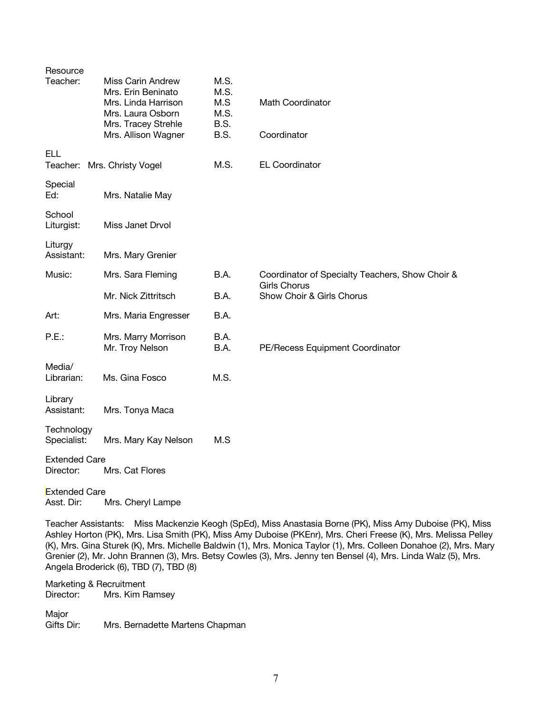| Resource                                                                                                                                                                                                                                                                                                                                                                                                                                                            |                                                                                                            |                                     |                                                  |  |  |
|---------------------------------------------------------------------------------------------------------------------------------------------------------------------------------------------------------------------------------------------------------------------------------------------------------------------------------------------------------------------------------------------------------------------------------------------------------------------|------------------------------------------------------------------------------------------------------------|-------------------------------------|--------------------------------------------------|--|--|
| Teacher:                                                                                                                                                                                                                                                                                                                                                                                                                                                            | Miss Carin Andrew<br>Mrs. Erin Beninato<br>Mrs. Linda Harrison<br>Mrs. Laura Osborn<br>Mrs. Tracey Strehle | M.S.<br>M.S.<br>M.S<br>M.S.<br>B.S. | <b>Math Coordinator</b>                          |  |  |
|                                                                                                                                                                                                                                                                                                                                                                                                                                                                     | Mrs. Allison Wagner                                                                                        | B.S.                                | Coordinator                                      |  |  |
| ELL<br>Teacher:                                                                                                                                                                                                                                                                                                                                                                                                                                                     | Mrs. Christy Vogel                                                                                         | M.S.                                | <b>EL Coordinator</b>                            |  |  |
| Special<br>Ed:                                                                                                                                                                                                                                                                                                                                                                                                                                                      | Mrs. Natalie May                                                                                           |                                     |                                                  |  |  |
| School<br>Liturgist:                                                                                                                                                                                                                                                                                                                                                                                                                                                | Miss Janet Drvol                                                                                           |                                     |                                                  |  |  |
| Liturgy<br>Assistant:                                                                                                                                                                                                                                                                                                                                                                                                                                               | Mrs. Mary Grenier                                                                                          |                                     |                                                  |  |  |
| Music:                                                                                                                                                                                                                                                                                                                                                                                                                                                              | Mrs. Sara Fleming                                                                                          | B.A.                                | Coordinator of Specialty Teachers, Show Choir &  |  |  |
|                                                                                                                                                                                                                                                                                                                                                                                                                                                                     | Mr. Nick Zittritsch                                                                                        | B.A.                                | <b>Girls Chorus</b><br>Show Choir & Girls Chorus |  |  |
| Art:                                                                                                                                                                                                                                                                                                                                                                                                                                                                | Mrs. Maria Engresser                                                                                       | B.A.                                |                                                  |  |  |
| $P.E.$ :                                                                                                                                                                                                                                                                                                                                                                                                                                                            | Mrs. Marry Morrison<br>Mr. Troy Nelson                                                                     | B.A.<br>B.A.                        | PE/Recess Equipment Coordinator                  |  |  |
| Media/<br>Librarian:                                                                                                                                                                                                                                                                                                                                                                                                                                                | Ms. Gina Fosco                                                                                             | M.S.                                |                                                  |  |  |
| Library<br>Assistant:                                                                                                                                                                                                                                                                                                                                                                                                                                               | Mrs. Tonya Maca                                                                                            |                                     |                                                  |  |  |
| Technology<br>Specialist:                                                                                                                                                                                                                                                                                                                                                                                                                                           | Mrs. Mary Kay Nelson                                                                                       | M.S                                 |                                                  |  |  |
| <b>Extended Care</b><br>Director:                                                                                                                                                                                                                                                                                                                                                                                                                                   | Mrs. Cat Flores                                                                                            |                                     |                                                  |  |  |
| <b>Extended Care</b><br>Asst. Dir:<br>Mrs. Cheryl Lampe                                                                                                                                                                                                                                                                                                                                                                                                             |                                                                                                            |                                     |                                                  |  |  |
| Miss Mackenzie Keogh (SpEd), Miss Anastasia Borne (PK), Miss Amy Duboise (PK), Miss<br>Teacher Assistants:<br>Ashley Horton (PK), Mrs. Lisa Smith (PK), Miss Amy Duboise (PKEnr), Mrs. Cheri Freese (K), Mrs. Melissa Pelley<br>(K), Mrs. Gina Sturek (K), Mrs. Michelle Baldwin (1), Mrs. Monica Taylor (1), Mrs. Colleen Donahoe (2), Mrs. Mary<br>Grenier (2), Mr. John Brannen (3), Mrs. Betsy Cowles (3), Mrs. Jenny ten Bensel (4), Mrs. Linda Walz (5), Mrs. |                                                                                                            |                                     |                                                  |  |  |

Marketing & Recruitment<br>Director: Mrs. Kim R Mrs. Kim Ramsey

Angela Broderick (6), TBD (7), TBD (8)

Major<br>Gifts Dir: Mrs. Bernadette Martens Chapman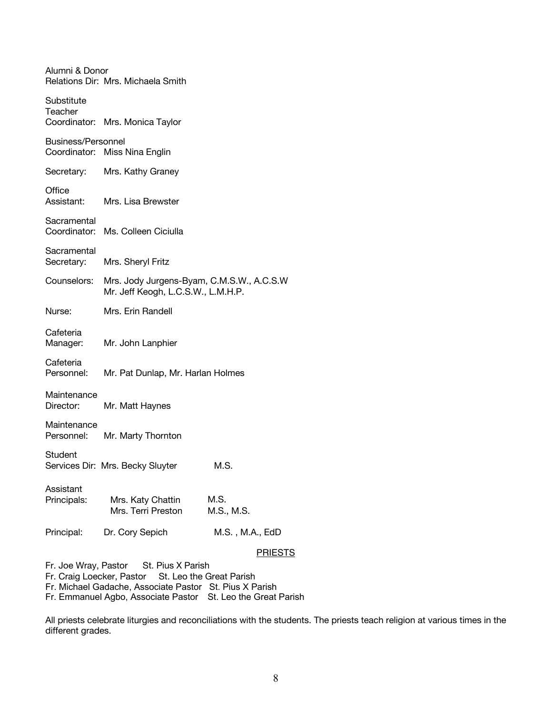| Alumni & Donor              | Relations Dir: Mrs. Michaela Smith      |                                            |
|-----------------------------|-----------------------------------------|--------------------------------------------|
| Substitute<br>Teacher       | Coordinator: Mrs. Monica Taylor         |                                            |
| Business/Personnel          |                                         |                                            |
|                             | Coordinator: Miss Nina Englin           |                                            |
| Secretary:                  | Mrs. Kathy Graney                       |                                            |
| Office<br>Assistant:        | Mrs. Lisa Brewster                      |                                            |
| Sacramental<br>Coordinator: | Ms. Colleen Ciciulla                    |                                            |
| Sacramental<br>Secretary:   | Mrs. Sheryl Fritz                       |                                            |
| Counselors:                 | Mr. Jeff Keogh, L.C.S.W., L.M.H.P.      | Mrs. Jody Jurgens-Byam, C.M.S.W., A.C.S.W. |
| Nurse:                      | Mrs. Erin Randell                       |                                            |
| Cafeteria<br>Manager:       | Mr. John Lanphier                       |                                            |
| Cafeteria<br>Personnel:     | Mr. Pat Dunlap, Mr. Harlan Holmes       |                                            |
| Maintenance<br>Director:    | Mr. Matt Haynes                         |                                            |
| Maintenance<br>Personnel:   | Mr. Marty Thornton                      |                                            |
| Student                     | Services Dir: Mrs. Becky Sluyter        | M.S.                                       |
| Assistant<br>Principals:    | Mrs. Katy Chattin<br>Mrs. Terri Preston | M.S.<br>M.S., M.S.                         |
|                             | Principal: Dr. Cory Sepich              | M.S., M.A., EdD                            |
|                             |                                         | <b>PRIEST</b>                              |
|                             | Fr. Joe Wray, Pastor St. Pius X Parish  |                                            |

 $\overline{\mathbf{S}}$ 

Fr. Craig Loecker, Pastor St. Leo the Great Parish

Fr. Michael Gadache, Associate Pastor St. Pius X Parish

Fr. Emmanuel Agbo, Associate Pastor St. Leo the Great Parish

All priests celebrate liturgies and reconciliations with the students. The priests teach religion at various times in the different grades.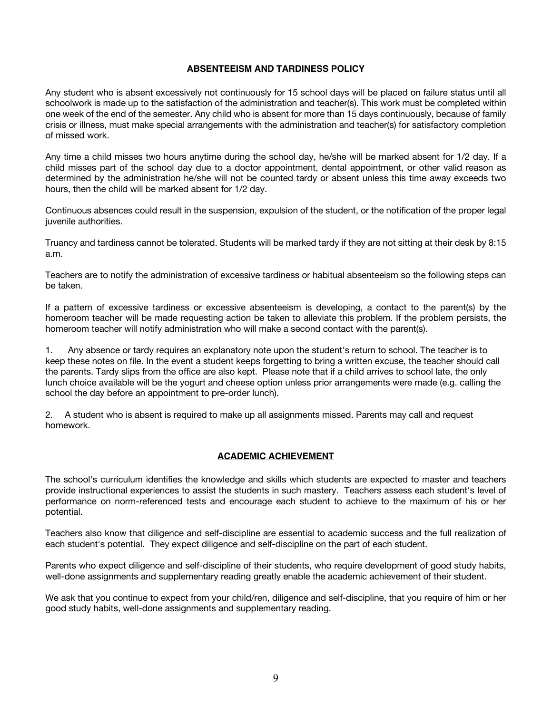## **ABSENTEEISM AND TARDINESS POLICY**

Any student who is absent excessively not continuously for 15 school days will be placed on failure status until all schoolwork is made up to the satisfaction of the administration and teacher(s). This work must be completed within one week of the end of the semester. Any child who is absent for more than 15 days continuously, because of family crisis or illness, must make special arrangements with the administration and teacher(s) for satisfactory completion of missed work.

Any time a child misses two hours anytime during the school day, he/she will be marked absent for 1/2 day. If a child misses part of the school day due to a doctor appointment, dental appointment, or other valid reason as determined by the administration he/she will not be counted tardy or absent unless this time away exceeds two hours, then the child will be marked absent for 1/2 day.

Continuous absences could result in the suspension, expulsion of the student, or the notification of the proper legal juvenile authorities.

Truancy and tardiness cannot be tolerated. Students will be marked tardy if they are not sitting at their desk by 8:15 a.m.

Teachers are to notify the administration of excessive tardiness or habitual absenteeism so the following steps can be taken.

If a pattern of excessive tardiness or excessive absenteeism is developing, a contact to the parent(s) by the homeroom teacher will be made requesting action be taken to alleviate this problem. If the problem persists, the homeroom teacher will notify administration who will make a second contact with the parent(s).

1. Any absence or tardy requires an explanatory note upon the student's return to school. The teacher is to keep these notes on file. In the event a student keeps forgetting to bring a written excuse, the teacher should call the parents. Tardy slips from the office are also kept. Please note that if a child arrives to school late, the only lunch choice available will be the yogurt and cheese option unless prior arrangements were made (e.g. calling the school the day before an appointment to pre-order lunch).

2. A student who is absent is required to make up all assignments missed. Parents may call and request homework.

## **ACADEMIC ACHIEVEMENT**

The school's curriculum identifies the knowledge and skills which students are expected to master and teachers provide instructional experiences to assist the students in such mastery. Teachers assess each student's level of performance on norm-referenced tests and encourage each student to achieve to the maximum of his or her potential.

Teachers also know that diligence and self-discipline are essential to academic success and the full realization of each student's potential. They expect diligence and self-discipline on the part of each student.

Parents who expect diligence and self-discipline of their students, who require development of good study habits, well-done assignments and supplementary reading greatly enable the academic achievement of their student.

We ask that you continue to expect from your child/ren, diligence and self-discipline, that you require of him or her good study habits, well-done assignments and supplementary reading.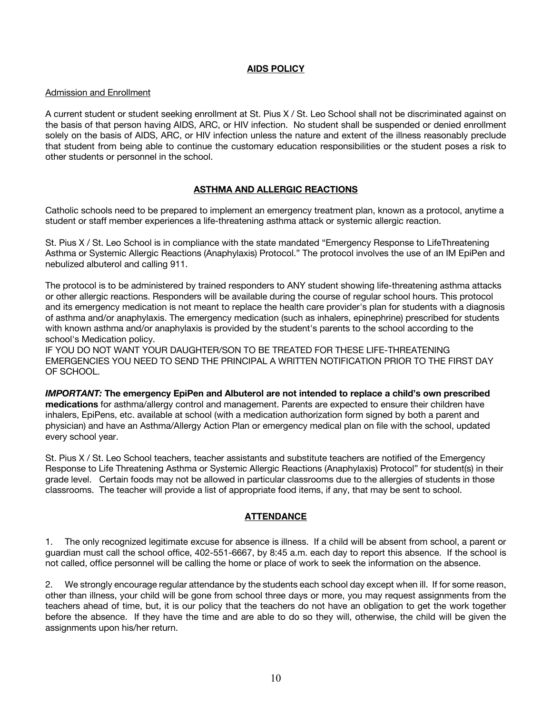## **AIDS POLICY**

#### Admission and Enrollment

A current student or student seeking enrollment at St. Pius X / St. Leo School shall not be discriminated against on the basis of that person having AIDS, ARC, or HIV infection. No student shall be suspended or denied enrollment solely on the basis of AIDS, ARC, or HIV infection unless the nature and extent of the illness reasonably preclude that student from being able to continue the customary education responsibilities or the student poses a risk to other students or personnel in the school.

## **ASTHMA AND ALLERGIC REACTIONS**

Catholic schools need to be prepared to implement an emergency treatment plan, known as a protocol, anytime a student or staff member experiences a life-threatening asthma attack or systemic allergic reaction.

St. Pius X / St. Leo School is in compliance with the state mandated "Emergency Response to LifeThreatening Asthma or Systemic Allergic Reactions (Anaphylaxis) Protocol." The protocol involves the use of an IM EpiPen and nebulized albuterol and calling 911.

The protocol is to be administered by trained responders to ANY student showing life-threatening asthma attacks or other allergic reactions. Responders will be available during the course of regular school hours. This protocol and its emergency medication is not meant to replace the health care provider's plan for students with a diagnosis of asthma and/or anaphylaxis. The emergency medication (such as inhalers, epinephrine) prescribed for students with known asthma and/or anaphylaxis is provided by the student's parents to the school according to the school's Medication policy.

IF YOU DO NOT WANT YOUR DAUGHTER/SON TO BE TREATED FOR THESE LIFE-THREATENING EMERGENCIES YOU NEED TO SEND THE PRINCIPAL A WRITTEN NOTIFICATION PRIOR TO THE FIRST DAY OF SCHOOL.

*IMPORTANT:* **The emergency EpiPen and Albuterol are not intended to replace a child's own prescribed medications** for asthma/allergy control and management. Parents are expected to ensure their children have inhalers, EpiPens, etc. available at school (with a medication authorization form signed by both a parent and physician) and have an Asthma/Allergy Action Plan or emergency medical plan on file with the school, updated every school year.

St. Pius X / St. Leo School teachers, teacher assistants and substitute teachers are notified of the Emergency Response to Life Threatening Asthma or Systemic Allergic Reactions (Anaphylaxis) Protocol" for student(s) in their grade level. Certain foods may not be allowed in particular classrooms due to the allergies of students in those classrooms. The teacher will provide a list of appropriate food items, if any, that may be sent to school.

## **ATTENDANCE**

1. The only recognized legitimate excuse for absence is illness. If a child will be absent from school, a parent or guardian must call the school office, 402-551-6667, by 8:45 a.m. each day to report this absence. If the school is not called, office personnel will be calling the home or place of work to seek the information on the absence.

2. We strongly encourage regular attendance by the students each school day except when ill. If for some reason, other than illness, your child will be gone from school three days or more, you may request assignments from the teachers ahead of time, but, it is our policy that the teachers do not have an obligation to get the work together before the absence. If they have the time and are able to do so they will, otherwise, the child will be given the assignments upon his/her return.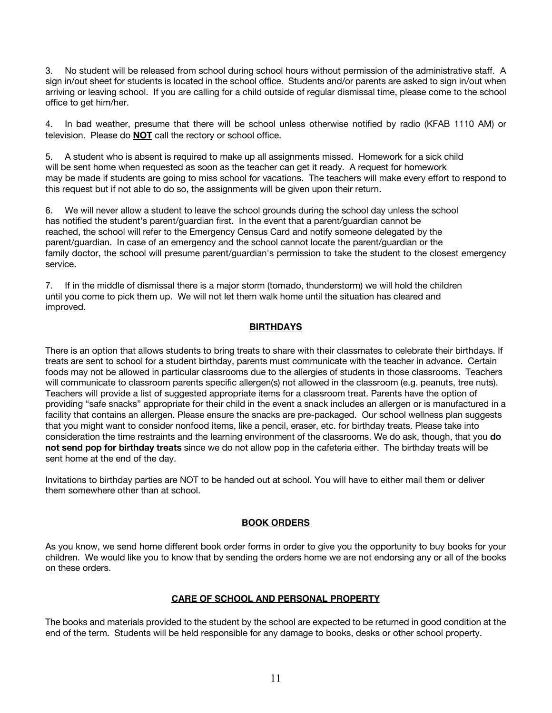3. No student will be released from school during school hours without permission of the administrative staff. A sign in/out sheet for students is located in the school office. Students and/or parents are asked to sign in/out when arriving or leaving school. If you are calling for a child outside of regular dismissal time, please come to the school office to get him/her.

4. In bad weather, presume that there will be school unless otherwise notified by radio (KFAB 1110 AM) or television. Please do **NOT** call the rectory or school office.

5. A student who is absent is required to make up all assignments missed. Homework for a sick child will be sent home when requested as soon as the teacher can get it ready. A request for homework may be made if students are going to miss school for vacations. The teachers will make every effort to respond to this request but if not able to do so, the assignments will be given upon their return.

6. We will never allow a student to leave the school grounds during the school day unless the school has notified the student's parent/guardian first. In the event that a parent/guardian cannot be reached, the school will refer to the Emergency Census Card and notify someone delegated by the parent/guardian. In case of an emergency and the school cannot locate the parent/guardian or the family doctor, the school will presume parent/guardian's permission to take the student to the closest emergency service.

7. If in the middle of dismissal there is a major storm (tornado, thunderstorm) we will hold the children until you come to pick them up. We will not let them walk home until the situation has cleared and improved.

## **BIRTHDAYS**

There is an option that allows students to bring treats to share with their classmates to celebrate their birthdays. If treats are sent to school for a student birthday, parents must communicate with the teacher in advance. Certain foods may not be allowed in particular classrooms due to the allergies of students in those classrooms. Teachers will communicate to classroom parents specific allergen(s) not allowed in the classroom (e.g. peanuts, tree nuts). Teachers will provide a list of suggested appropriate items for a classroom treat. Parents have the option of providing "safe snacks" appropriate for their child in the event a snack includes an allergen or is manufactured in a facility that contains an allergen. Please ensure the snacks are pre-packaged. Our school wellness plan suggests that you might want to consider nonfood items, like a pencil, eraser, etc. for birthday treats. Please take into consideration the time restraints and the learning environment of the classrooms. We do ask, though, that you **do not send pop for birthday treats** since we do not allow pop in the cafeteria either. The birthday treats will be sent home at the end of the day.

Invitations to birthday parties are NOT to be handed out at school. You will have to either mail them or deliver them somewhere other than at school.

## **BOOK ORDERS**

As you know, we send home different book order forms in order to give you the opportunity to buy books for your children. We would like you to know that by sending the orders home we are not endorsing any or all of the books on these orders.

## **CARE OF SCHOOL AND PERSONAL PROPERTY**

The books and materials provided to the student by the school are expected to be returned in good condition at the end of the term. Students will be held responsible for any damage to books, desks or other school property.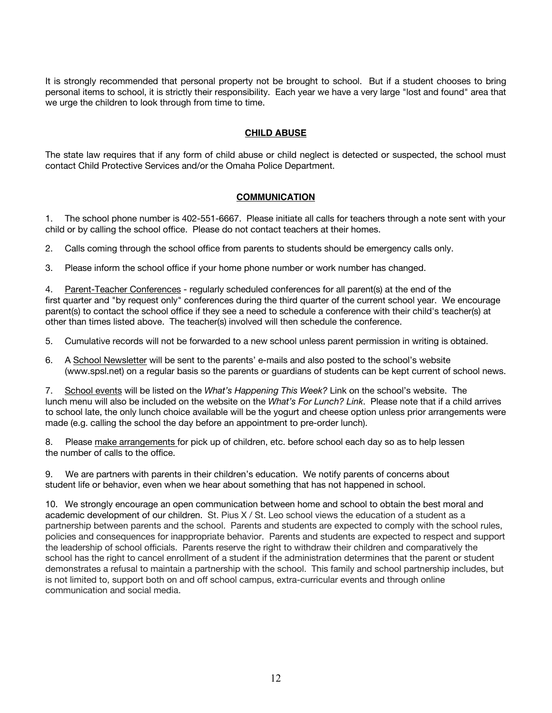It is strongly recommended that personal property not be brought to school. But if a student chooses to bring personal items to school, it is strictly their responsibility. Each year we have a very large "lost and found" area that we urge the children to look through from time to time.

## **CHILD ABUSE**

The state law requires that if any form of child abuse or child neglect is detected or suspected, the school must contact Child Protective Services and/or the Omaha Police Department.

## **COMMUNICATION**

1. The school phone number is 402-551-6667. Please initiate all calls for teachers through a note sent with your child or by calling the school office. Please do not contact teachers at their homes.

2. Calls coming through the school office from parents to students should be emergency calls only.

3. Please inform the school office if your home phone number or work number has changed.

4. Parent-Teacher Conferences - regularly scheduled conferences for all parent(s) at the end of the first quarter and "by request only" conferences during the third quarter of the current school year. We encourage parent(s) to contact the school office if they see a need to schedule a conference with their child's teacher(s) at other than times listed above. The teacher(s) involved will then schedule the conference.

5. Cumulative records will not be forwarded to a new school unless parent permission in writing is obtained.

6. A School Newsletter will be sent to the parents' e-mails and also posted to the school's website (www.spsl.net) on a regular basis so the parents or guardians of students can be kept current of school news.

7. School events will be listed on the *What's Happening This Week?* Link on the school's website. The lunch menu will also be included on the website on the *What's For Lunch? Link*. Please note that if a child arrives to school late, the only lunch choice available will be the yogurt and cheese option unless prior arrangements were made (e.g. calling the school the day before an appointment to pre-order lunch).

8. Please make arrangements for pick up of children, etc. before school each day so as to help lessen the number of calls to the office.

9. We are partners with parents in their children's education. We notify parents of concerns about student life or behavior, even when we hear about something that has not happened in school.

10. We strongly encourage an open communication between home and school to obtain the best moral and academic development of our children. St. Pius X / St. Leo school views the education of a student as a partnership between parents and the school. Parents and students are expected to comply with the school rules, policies and consequences for inappropriate behavior. Parents and students are expected to respect and support the leadership of school officials. Parents reserve the right to withdraw their children and comparatively the school has the right to cancel enrollment of a student if the administration determines that the parent or student demonstrates a refusal to maintain a partnership with the school. This family and school partnership includes, but is not limited to, support both on and off school campus, extra-curricular events and through online communication and social media.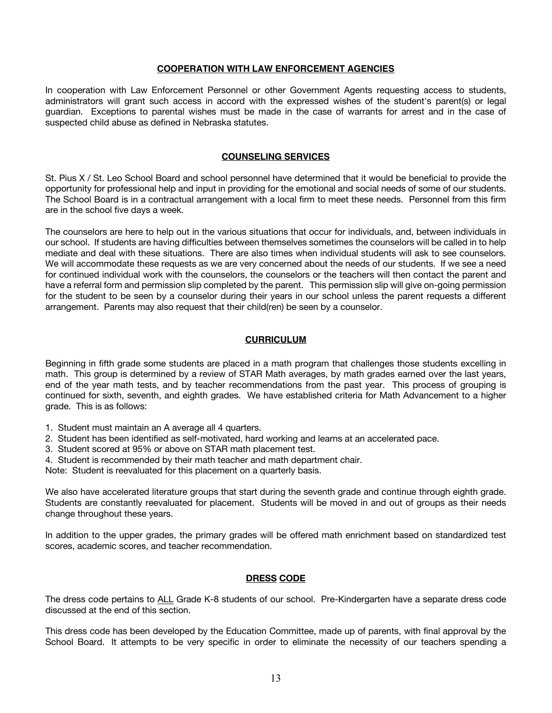## **COOPERATION WITH LAW ENFORCEMENT AGENCIES**

In cooperation with Law Enforcement Personnel or other Government Agents requesting access to students, administrators will grant such access in accord with the expressed wishes of the student's parent(s) or legal guardian. Exceptions to parental wishes must be made in the case of warrants for arrest and in the case of suspected child abuse as defined in Nebraska statutes.

## **COUNSELING SERVICES**

St. Pius X / St. Leo School Board and school personnel have determined that it would be beneficial to provide the opportunity for professional help and input in providing for the emotional and social needs of some of our students. The School Board is in a contractual arrangement with a local firm to meet these needs. Personnel from this firm are in the school five days a week.

The counselors are here to help out in the various situations that occur for individuals, and, between individuals in our school. If students are having difficulties between themselves sometimes the counselors will be called in to help mediate and deal with these situations. There are also times when individual students will ask to see counselors. We will accommodate these requests as we are very concerned about the needs of our students. If we see a need for continued individual work with the counselors, the counselors or the teachers will then contact the parent and have a referral form and permission slip completed by the parent. This permission slip will give on-going permission for the student to be seen by a counselor during their years in our school unless the parent requests a different arrangement. Parents may also request that their child(ren) be seen by a counselor.

## **CURRICULUM**

Beginning in fifth grade some students are placed in a math program that challenges those students excelling in math. This group is determined by a review of STAR Math averages, by math grades earned over the last years, end of the year math tests, and by teacher recommendations from the past year. This process of grouping is continued for sixth, seventh, and eighth grades. We have established criteria for Math Advancement to a higher grade. This is as follows:

- 1. Student must maintain an A average all 4 quarters.
- 2. Student has been identified as self-motivated, hard working and learns at an accelerated pace.
- 3. Student scored at 95% or above on STAR math placement test.
- 4. Student is recommended by their math teacher and math department chair.

Note: Student is reevaluated for this placement on a quarterly basis.

We also have accelerated literature groups that start during the seventh grade and continue through eighth grade. Students are constantly reevaluated for placement. Students will be moved in and out of groups as their needs change throughout these years.

In addition to the upper grades, the primary grades will be offered math enrichment based on standardized test scores, academic scores, and teacher recommendation.

## **DRESS CODE**

The dress code pertains to ALL Grade K-8 students of our school. Pre-Kindergarten have a separate dress code discussed at the end of this section.

This dress code has been developed by the Education Committee, made up of parents, with final approval by the School Board. It attempts to be very specific in order to eliminate the necessity of our teachers spending a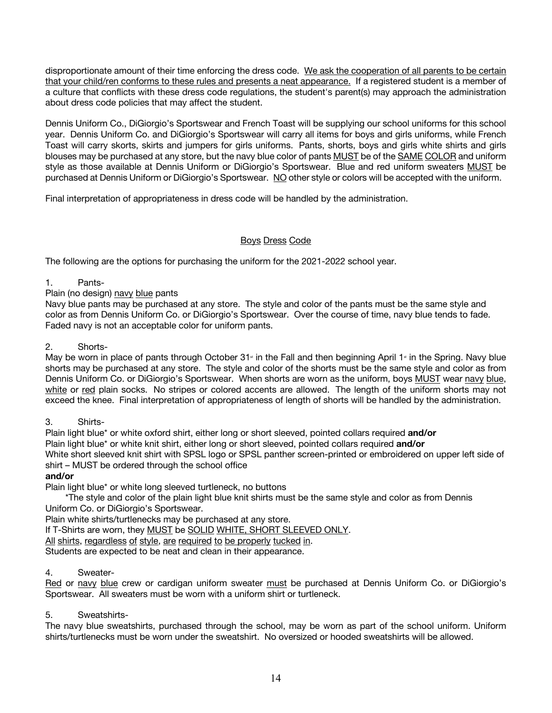disproportionate amount of their time enforcing the dress code. We ask the cooperation of all parents to be certain that your child/ren conforms to these rules and presents a neat appearance. If a registered student is a member of a culture that conflicts with these dress code regulations, the student's parent(s) may approach the administration about dress code policies that may affect the student.

Dennis Uniform Co., DiGiorgio's Sportswear and French Toast will be supplying our school uniforms for this school year. Dennis Uniform Co. and DiGiorgio's Sportswear will carry all items for boys and girls uniforms, while French Toast will carry skorts, skirts and jumpers for girls uniforms. Pants, shorts, boys and girls white shirts and girls blouses may be purchased at any store, but the navy blue color of pants MUST be of the SAME COLOR and uniform style as those available at Dennis Uniform or DiGiorgio's Sportswear. Blue and red uniform sweaters MUST be purchased at Dennis Uniform or DiGiorgio's Sportswear. NO other style or colors will be accepted with the uniform.

Final interpretation of appropriateness in dress code will be handled by the administration.

## Boys Dress Code

The following are the options for purchasing the uniform for the 2021-2022 school year.

## 1. Pants-

## Plain (no design) navy blue pants

Navy blue pants may be purchased at any store. The style and color of the pants must be the same style and color as from Dennis Uniform Co. or DiGiorgio's Sportswear. Over the course of time, navy blue tends to fade. Faded navy is not an acceptable color for uniform pants.

## 2. Shorts-

May be worn in place of pants through October 31<sup> $\ast$ </sup> in the Fall and then beginning April 1 $\ast$  in the Spring. Navy blue shorts may be purchased at any store. The style and color of the shorts must be the same style and color as from Dennis Uniform Co. or DiGiorgio's Sportswear. When shorts are worn as the uniform, boys MUST wear navy blue, white or red plain socks. No stripes or colored accents are allowed. The length of the uniform shorts may not exceed the knee. Final interpretation of appropriateness of length of shorts will be handled by the administration.

## 3. Shirts-

Plain light blue\* or white oxford shirt, either long or short sleeved, pointed collars required **and/or** Plain light blue\* or white knit shirt, either long or short sleeved, pointed collars required **and/or** White short sleeved knit shirt with SPSL logo or SPSL panther screen-printed or embroidered on upper left side of shirt – MUST be ordered through the school office **and/or**

Plain light blue\* or white long sleeved turtleneck, no buttons

 \*The style and color of the plain light blue knit shirts must be the same style and color as from Dennis Uniform Co. or DiGiorgio's Sportswear.

Plain white shirts/turtlenecks may be purchased at any store.

If T-Shirts are worn, they MUST be SOLID WHITE, SHORT SLEEVED ONLY.

All shirts, regardless of style, are required to be properly tucked in.

Students are expected to be neat and clean in their appearance.

## 4. Sweater-

Red or navy blue crew or cardigan uniform sweater must be purchased at Dennis Uniform Co. or DiGiorgio's Sportswear. All sweaters must be worn with a uniform shirt or turtleneck.

## 5. Sweatshirts-

The navy blue sweatshirts, purchased through the school, may be worn as part of the school uniform. Uniform shirts/turtlenecks must be worn under the sweatshirt. No oversized or hooded sweatshirts will be allowed.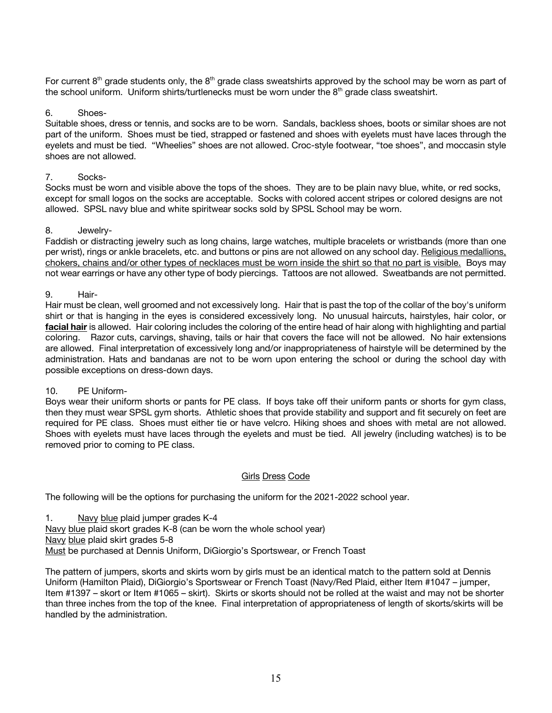For current  $8<sup>th</sup>$  grade students only, the  $8<sup>th</sup>$  grade class sweatshirts approved by the school may be worn as part of the school uniform. Uniform shirts/turtlenecks must be worn under the 8<sup>th</sup> grade class sweatshirt.

## 6. Shoes-

Suitable shoes, dress or tennis, and socks are to be worn. Sandals, backless shoes, boots or similar shoes are not part of the uniform. Shoes must be tied, strapped or fastened and shoes with eyelets must have laces through the eyelets and must be tied. "Wheelies" shoes are not allowed. Croc-style footwear, "toe shoes", and moccasin style shoes are not allowed.

## 7. Socks-

Socks must be worn and visible above the tops of the shoes. They are to be plain navy blue, white, or red socks, except for small logos on the socks are acceptable. Socks with colored accent stripes or colored designs are not allowed. SPSL navy blue and white spiritwear socks sold by SPSL School may be worn.

## 8. Jewelry-

Faddish or distracting jewelry such as long chains, large watches, multiple bracelets or wristbands (more than one per wrist), rings or ankle bracelets, etc. and buttons or pins are not allowed on any school day. Religious medallions, chokers, chains and/or other types of necklaces must be worn inside the shirt so that no part is visible. Boys may not wear earrings or have any other type of body piercings. Tattoos are not allowed. Sweatbands are not permitted.

## 9. Hair-

Hair must be clean, well groomed and not excessively long. Hair that is past the top of the collar of the boy's uniform shirt or that is hanging in the eyes is considered excessively long. No unusual haircuts, hairstyles, hair color, or **facial hair** is allowed. Hair coloring includes the coloring of the entire head of hair along with highlighting and partial coloring. Razor cuts, carvings, shaving, tails or hair that covers the face will not be allowed. No hair extensions are allowed. Final interpretation of excessively long and/or inappropriateness of hairstyle will be determined by the administration. Hats and bandanas are not to be worn upon entering the school or during the school day with possible exceptions on dress-down days.

## 10. PE Uniform-

Boys wear their uniform shorts or pants for PE class. If boys take off their uniform pants or shorts for gym class, then they must wear SPSL gym shorts. Athletic shoes that provide stability and support and fit securely on feet are required for PE class. Shoes must either tie or have velcro. Hiking shoes and shoes with metal are not allowed. Shoes with eyelets must have laces through the eyelets and must be tied. All jewelry (including watches) is to be removed prior to coming to PE class.

#### Girls Dress Code

The following will be the options for purchasing the uniform for the 2021-2022 school year.

1. Navy blue plaid jumper grades K-4 Navy blue plaid skort grades K-8 (can be worn the whole school year) Navy blue plaid skirt grades 5-8 Must be purchased at Dennis Uniform, DiGiorgio's Sportswear, or French Toast

The pattern of jumpers, skorts and skirts worn by girls must be an identical match to the pattern sold at Dennis Uniform (Hamilton Plaid), DiGiorgio's Sportswear or French Toast (Navy/Red Plaid, either Item #1047 – jumper, Item #1397 – skort or Item #1065 – skirt). Skirts or skorts should not be rolled at the waist and may not be shorter than three inches from the top of the knee. Final interpretation of appropriateness of length of skorts/skirts will be handled by the administration.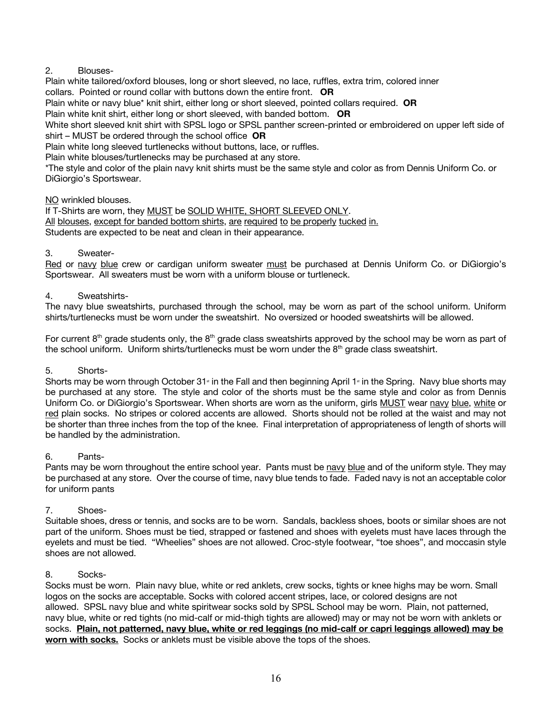## 2. Blouses-

Plain white tailored/oxford blouses, long or short sleeved, no lace, ruffles, extra trim, colored inner collars. Pointed or round collar with buttons down the entire front. **OR**

Plain white or navy blue\* knit shirt, either long or short sleeved, pointed collars required. **OR**

Plain white knit shirt, either long or short sleeved, with banded bottom. **OR**

White short sleeved knit shirt with SPSL logo or SPSL panther screen-printed or embroidered on upper left side of shirt – MUST be ordered through the school office **OR**

Plain white long sleeved turtlenecks without buttons, lace, or ruffles.

Plain white blouses/turtlenecks may be purchased at any store.

\*The style and color of the plain navy knit shirts must be the same style and color as from Dennis Uniform Co. or DiGiorgio's Sportswear.

## NO wrinkled blouses.

If T-Shirts are worn, they MUST be SOLID WHITE, SHORT SLEEVED ONLY. All blouses, except for banded bottom shirts, are required to be properly tucked in. Students are expected to be neat and clean in their appearance.

## 3. Sweater-

Red or navy blue crew or cardigan uniform sweater must be purchased at Dennis Uniform Co. or DiGiorgio's Sportswear. All sweaters must be worn with a uniform blouse or turtleneck.

## 4. Sweatshirts-

The navy blue sweatshirts, purchased through the school, may be worn as part of the school uniform. Uniform shirts/turtlenecks must be worn under the sweatshirt. No oversized or hooded sweatshirts will be allowed.

For current  $8<sup>th</sup>$  grade students only, the  $8<sup>th</sup>$  grade class sweatshirts approved by the school may be worn as part of the school uniform. Uniform shirts/turtlenecks must be worn under the 8<sup>th</sup> grade class sweatshirt.

## 5. Shorts-

Shorts may be worn through October 31<sup>\*</sup> in the Fall and then beginning April 1<sup>\*</sup> in the Spring. Navy blue shorts may be purchased at any store. The style and color of the shorts must be the same style and color as from Dennis Uniform Co. or DiGiorgio's Sportswear. When shorts are worn as the uniform, girls MUST wear navy blue, white or red plain socks. No stripes or colored accents are allowed. Shorts should not be rolled at the waist and may not be shorter than three inches from the top of the knee. Final interpretation of appropriateness of length of shorts will be handled by the administration.

## 6. Pants-

Pants may be worn throughout the entire school year. Pants must be navy blue and of the uniform style. They may be purchased at any store. Over the course of time, navy blue tends to fade. Faded navy is not an acceptable color for uniform pants

## 7. Shoes-

Suitable shoes, dress or tennis, and socks are to be worn. Sandals, backless shoes, boots or similar shoes are not part of the uniform. Shoes must be tied, strapped or fastened and shoes with eyelets must have laces through the eyelets and must be tied. "Wheelies" shoes are not allowed. Croc-style footwear, "toe shoes", and moccasin style shoes are not allowed.

## 8. Socks-

Socks must be worn. Plain navy blue, white or red anklets, crew socks, tights or knee highs may be worn. Small logos on the socks are acceptable. Socks with colored accent stripes, lace, or colored designs are not allowed. SPSL navy blue and white spiritwear socks sold by SPSL School may be worn. Plain, not patterned, navy blue, white or red tights (no mid-calf or mid-thigh tights are allowed) may or may not be worn with anklets or socks. **Plain, not patterned, navy blue, white or red leggings (no mid-calf or capri leggings allowed) may be worn with socks.** Socks or anklets must be visible above the tops of the shoes.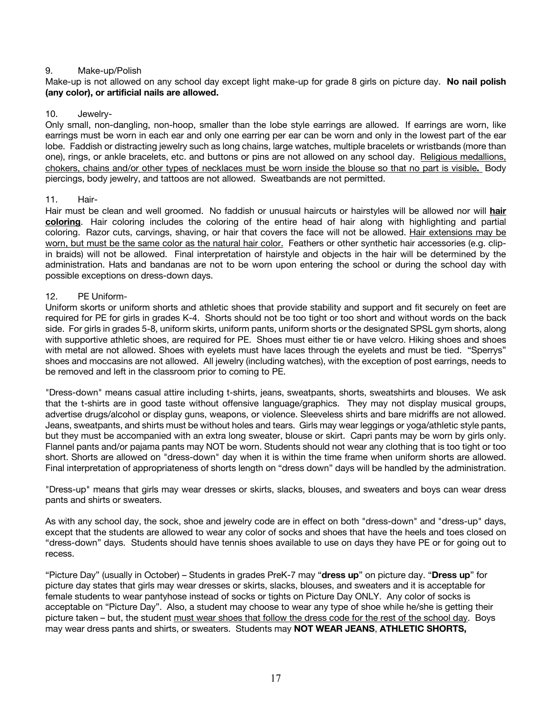## 9. Make-up/Polish

Make-up is not allowed on any school day except light make-up for grade 8 girls on picture day. **No nail polish (any color), or artificial nails are allowed.**

#### 10. Jewelry-

Only small, non-dangling, non-hoop, smaller than the lobe style earrings are allowed. If earrings are worn, like earrings must be worn in each ear and only one earring per ear can be worn and only in the lowest part of the ear lobe. Faddish or distracting jewelry such as long chains, large watches, multiple bracelets or wristbands (more than one), rings, or ankle bracelets, etc. and buttons or pins are not allowed on any school day. Religious medallions, chokers, chains and/or other types of necklaces must be worn inside the blouse so that no part is visible**.** Body piercings, body jewelry, and tattoos are not allowed. Sweatbands are not permitted.

#### 11. Hair-

Hair must be clean and well groomed. No faddish or unusual haircuts or hairstyles will be allowed nor will **hair coloring**. Hair coloring includes the coloring of the entire head of hair along with highlighting and partial coloring. Razor cuts, carvings, shaving, or hair that covers the face will not be allowed. Hair extensions may be worn, but must be the same color as the natural hair color. Feathers or other synthetic hair accessories (e.g. clipin braids) will not be allowed. Final interpretation of hairstyle and objects in the hair will be determined by the administration. Hats and bandanas are not to be worn upon entering the school or during the school day with possible exceptions on dress-down days.

## 12. PE Uniform-

Uniform skorts or uniform shorts and athletic shoes that provide stability and support and fit securely on feet are required for PE for girls in grades K-4. Shorts should not be too tight or too short and without words on the back side. For girls in grades 5-8, uniform skirts, uniform pants, uniform shorts or the designated SPSL gym shorts, along with supportive athletic shoes, are required for PE. Shoes must either tie or have velcro. Hiking shoes and shoes with metal are not allowed. Shoes with eyelets must have laces through the eyelets and must be tied. "Sperrys" shoes and moccasins are not allowed. All jewelry (including watches), with the exception of post earrings, needs to be removed and left in the classroom prior to coming to PE.

"Dress-down" means casual attire including t-shirts, jeans, sweatpants, shorts, sweatshirts and blouses. We ask that the t-shirts are in good taste without offensive language/graphics. They may not display musical groups, advertise drugs/alcohol or display guns, weapons, or violence. Sleeveless shirts and bare midriffs are not allowed. Jeans, sweatpants, and shirts must be without holes and tears. Girls may wear leggings or yoga/athletic style pants, but they must be accompanied with an extra long sweater, blouse or skirt. Capri pants may be worn by girls only. Flannel pants and/or pajama pants may NOT be worn. Students should not wear any clothing that is too tight or too short. Shorts are allowed on "dress-down" day when it is within the time frame when uniform shorts are allowed. Final interpretation of appropriateness of shorts length on "dress down" days will be handled by the administration.

"Dress-up" means that girls may wear dresses or skirts, slacks, blouses, and sweaters and boys can wear dress pants and shirts or sweaters.

As with any school day, the sock, shoe and jewelry code are in effect on both "dress-down" and "dress-up" days, except that the students are allowed to wear any color of socks and shoes that have the heels and toes closed on "dress-down" days. Students should have tennis shoes available to use on days they have PE or for going out to recess.

"Picture Day" (usually in October) – Students in grades PreK-7 may "**dress up**" on picture day. "**Dress up**" for picture day states that girls may wear dresses or skirts, slacks, blouses, and sweaters and it is acceptable for female students to wear pantyhose instead of socks or tights on Picture Day ONLY. Any color of socks is acceptable on "Picture Day". Also, a student may choose to wear any type of shoe while he/she is getting their picture taken – but, the student must wear shoes that follow the dress code for the rest of the school day. Boys may wear dress pants and shirts, or sweaters. Students may **NOT WEAR JEANS**, **ATHLETIC SHORTS,**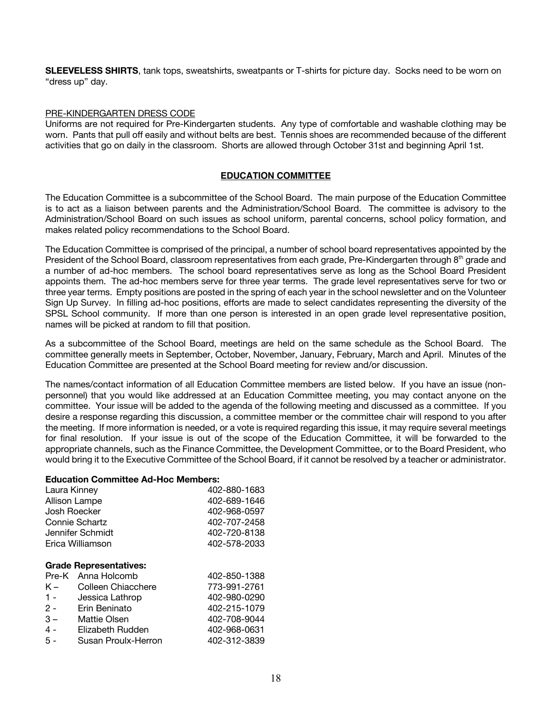**SLEEVELESS SHIRTS**, tank tops, sweatshirts, sweatpants or T-shirts for picture day. Socks need to be worn on "dress up" day.

## PRE-KINDERGARTEN DRESS CODE

Uniforms are not required for Pre-Kindergarten students. Any type of comfortable and washable clothing may be worn. Pants that pull off easily and without belts are best. Tennis shoes are recommended because of the different activities that go on daily in the classroom. Shorts are allowed through October 31st and beginning April 1st.

## **EDUCATION COMMITTEE**

The Education Committee is a subcommittee of the School Board. The main purpose of the Education Committee is to act as a liaison between parents and the Administration/School Board. The committee is advisory to the Administration/School Board on such issues as school uniform, parental concerns, school policy formation, and makes related policy recommendations to the School Board.

The Education Committee is comprised of the principal, a number of school board representatives appointed by the President of the School Board, classroom representatives from each grade, Pre-Kindergarten through  $8<sup>th</sup>$  grade and a number of ad-hoc members. The school board representatives serve as long as the School Board President appoints them. The ad-hoc members serve for three year terms. The grade level representatives serve for two or three year terms. Empty positions are posted in the spring of each year in the school newsletter and on the Volunteer Sign Up Survey. In filling ad-hoc positions, efforts are made to select candidates representing the diversity of the SPSL School community. If more than one person is interested in an open grade level representative position, names will be picked at random to fill that position.

As a subcommittee of the School Board, meetings are held on the same schedule as the School Board. The committee generally meets in September, October, November, January, February, March and April. Minutes of the Education Committee are presented at the School Board meeting for review and/or discussion.

The names/contact information of all Education Committee members are listed below. If you have an issue (nonpersonnel) that you would like addressed at an Education Committee meeting, you may contact anyone on the committee. Your issue will be added to the agenda of the following meeting and discussed as a committee. If you desire a response regarding this discussion, a committee member or the committee chair will respond to you after the meeting. If more information is needed, or a vote is required regarding this issue, it may require several meetings for final resolution. If your issue is out of the scope of the Education Committee, it will be forwarded to the appropriate channels, such as the Finance Committee, the Development Committee, or to the Board President, who would bring it to the Executive Committee of the School Board, if it cannot be resolved by a teacher or administrator.

#### **Education Committee Ad-Hoc Members:**

| Laura Kinney   |                               | 402-880-1683 |
|----------------|-------------------------------|--------------|
| Allison Lampe  |                               | 402-689-1646 |
| Josh Roecker   |                               | 402-968-0597 |
| Connie Schartz |                               | 402-707-2458 |
|                | Jennifer Schmidt              | 402-720-8138 |
|                | Erica Williamson              | 402-578-2033 |
|                |                               |              |
|                | <b>Grade Representatives:</b> |              |
| Pre-K          | Anna Holcomb                  | 402-850-1388 |
| $K -$          | Colleen Chiacchere            | 773-991-2761 |
| $1 -$          | Jessica Lathrop               | 402-980-0290 |
| $2 -$          | Erin Beninato                 | 402-215-1079 |
| $3 -$          | Mattie Olsen                  | 402-708-9044 |
| $4 -$          | Elizabeth Rudden              | 402-968-0631 |
| 5 -            | Susan Proulx-Herron           | 402-312-3839 |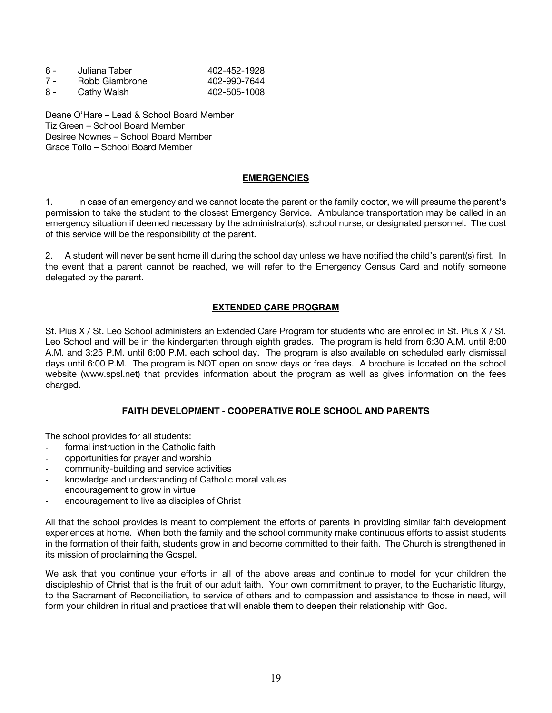| 6 -   | Juliana Taber  | 402-452-1928 |
|-------|----------------|--------------|
| $7 -$ | Robb Giambrone | 402-990-7644 |

8 - Cathy Walsh 402-505-1008

Deane O'Hare – Lead & School Board Member Tiz Green – School Board Member Desiree Nownes – School Board Member Grace Tollo – School Board Member

## **EMERGENCIES**

1. In case of an emergency and we cannot locate the parent or the family doctor, we will presume the parent's permission to take the student to the closest Emergency Service. Ambulance transportation may be called in an emergency situation if deemed necessary by the administrator(s), school nurse, or designated personnel. The cost of this service will be the responsibility of the parent.

2. A student will never be sent home ill during the school day unless we have notified the child's parent(s) first. In the event that a parent cannot be reached, we will refer to the Emergency Census Card and notify someone delegated by the parent.

## **EXTENDED CARE PROGRAM**

St. Pius X / St. Leo School administers an Extended Care Program for students who are enrolled in St. Pius X / St. Leo School and will be in the kindergarten through eighth grades. The program is held from 6:30 A.M. until 8:00 A.M. and 3:25 P.M. until 6:00 P.M. each school day. The program is also available on scheduled early dismissal days until 6:00 P.M. The program is NOT open on snow days or free days. A brochure is located on the school website (www.spsl.net) that provides information about the program as well as gives information on the fees charged.

## **FAITH DEVELOPMENT - COOPERATIVE ROLE SCHOOL AND PARENTS**

The school provides for all students:

- formal instruction in the Catholic faith
- opportunities for prayer and worship
- community-building and service activities
- knowledge and understanding of Catholic moral values
- encouragement to grow in virtue
- encouragement to live as disciples of Christ

All that the school provides is meant to complement the efforts of parents in providing similar faith development experiences at home. When both the family and the school community make continuous efforts to assist students in the formation of their faith, students grow in and become committed to their faith. The Church is strengthened in its mission of proclaiming the Gospel.

We ask that you continue your efforts in all of the above areas and continue to model for your children the discipleship of Christ that is the fruit of our adult faith. Your own commitment to prayer, to the Eucharistic liturgy, to the Sacrament of Reconciliation, to service of others and to compassion and assistance to those in need, will form your children in ritual and practices that will enable them to deepen their relationship with God.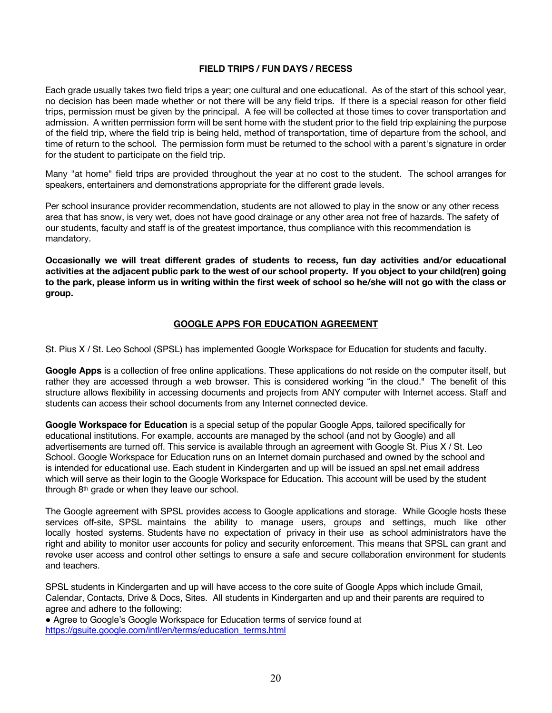## **FIELD TRIPS / FUN DAYS / RECESS**

Each grade usually takes two field trips a year; one cultural and one educational. As of the start of this school year, no decision has been made whether or not there will be any field trips. If there is a special reason for other field trips, permission must be given by the principal. A fee will be collected at those times to cover transportation and admission. A written permission form will be sent home with the student prior to the field trip explaining the purpose of the field trip, where the field trip is being held, method of transportation, time of departure from the school, and time of return to the school. The permission form must be returned to the school with a parent's signature in order for the student to participate on the field trip.

Many "at home" field trips are provided throughout the year at no cost to the student. The school arranges for speakers, entertainers and demonstrations appropriate for the different grade levels.

Per school insurance provider recommendation, students are not allowed to play in the snow or any other recess area that has snow, is very wet, does not have good drainage or any other area not free of hazards. The safety of our students, faculty and staff is of the greatest importance, thus compliance with this recommendation is mandatory.

**Occasionally we will treat different grades of students to recess, fun day activities and/or educational activities at the adjacent public park to the west of our school property. If you object to your child(ren) going to the park, please inform us in writing within the first week of school so he/she will not go with the class or group.**

## **GOOGLE APPS FOR EDUCATION AGREEMENT**

St. Pius X / St. Leo School (SPSL) has implemented Google Workspace for Education for students and faculty.

**Google Apps** is a collection of free online applications. These applications do not reside on the computer itself, but rather they are accessed through a web browser. This is considered working "in the cloud." The benefit of this structure allows flexibility in accessing documents and projects from ANY computer with Internet access. Staff and students can access their school documents from any Internet connected device.

**Google Workspace for Education** is a special setup of the popular Google Apps, tailored specifically for educational institutions. For example, accounts are managed by the school (and not by Google) and all advertisements are turned off. This service is available through an agreement with Google St. Pius X / St. Leo School. Google Workspace for Education runs on an Internet domain purchased and owned by the school and is intended for educational use. Each student in Kindergarten and up will be issued an spsl.net email address which will serve as their login to the Google Workspace for Education. This account will be used by the student through 8th grade or when they leave our school.

The Google agreement with SPSL provides access to Google applications and storage. While Google hosts these services off-site, SPSL maintains the ability to manage users, groups and settings, much like other locally hosted systems. Students have no expectation of privacy in their use as school administrators have the right and ability to monitor user accounts for policy and security enforcement. This means that SPSL can grant and revoke user access and control other settings to ensure a safe and secure collaboration environment for students and teachers.

SPSL students in Kindergarten and up will have access to the core suite of Google Apps which include Gmail, Calendar, Contacts, Drive & Docs, Sites. All students in Kindergarten and up and their parents are required to agree and adhere to the following:

● Agree to Google's Google Workspace for Education terms of service found at https://asuite.google.com/intl/en/terms/education\_terms.html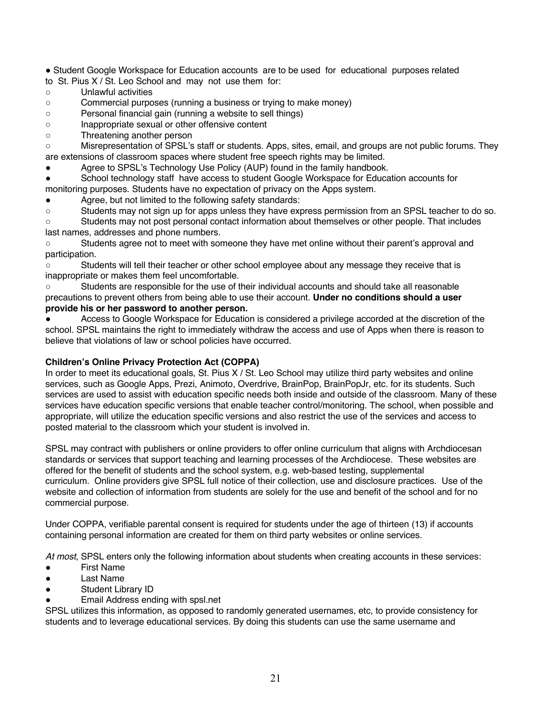● Student Google Workspace for Education accounts are to be used for educational purposes related

to St. Pius X / St. Leo School and may not use them for:

○ Unlawful activities

○ Commercial purposes (running a business or trying to make money)

○ Personal financial gain (running a website to sell things)

○ Inappropriate sexual or other offensive content

○ Threatening another person

○ Misrepresentation of SPSL's staff or students. Apps, sites, email, and groups are not public forums. They are extensions of classroom spaces where student free speech rights may be limited.

● Agree to SPSL's Technology Use Policy (AUP) found in the family handbook.

School technology staff have access to student Google Workspace for Education accounts for monitoring purposes. Students have no expectation of privacy on the Apps system.

● Agree, but not limited to the following safety standards:

- Students may not sign up for apps unless they have express permission from an SPSL teacher to do so.
- Students may not post personal contact information about themselves or other people. That includes last names, addresses and phone numbers.

○ Students agree not to meet with someone they have met online without their parent's approval and participation.

Students will tell their teacher or other school employee about any message they receive that is inappropriate or makes them feel uncomfortable.

○ Students are responsible for the use of their individual accounts and should take all reasonable precautions to prevent others from being able to use their account. **Under no conditions should a user provide his or her password to another person.**

Access to Google Workspace for Education is considered a privilege accorded at the discretion of the school. SPSL maintains the right to immediately withdraw the access and use of Apps when there is reason to believe that violations of law or school policies have occurred.

## **Children's Online Privacy Protection Act (COPPA)**

In order to meet its educational goals, St. Pius X / St. Leo School may utilize third party websites and online services, such as Google Apps, Prezi, Animoto, Overdrive, BrainPop, BrainPopJr, etc. for its students. Such services are used to assist with education specific needs both inside and outside of the classroom. Many of these services have education specific versions that enable teacher control/monitoring. The school, when possible and appropriate, will utilize the education specific versions and also restrict the use of the services and access to posted material to the classroom which your student is involved in.

SPSL may contract with publishers or online providers to offer online curriculum that aligns with Archdiocesan standards or services that support teaching and learning processes of the Archdiocese. These websites are offered for the benefit of students and the school system, e.g. web-based testing, supplemental curriculum. Online providers give SPSL full notice of their collection, use and disclosure practices. Use of the website and collection of information from students are solely for the use and benefit of the school and for no commercial purpose.

Under COPPA, verifiable parental consent is required for students under the age of thirteen (13) if accounts containing personal information are created for them on third party websites or online services.

*At most*, SPSL enters only the following information about students when creating accounts in these services:

- First Name
- **Last Name**
- **Student Library ID**
- **Email Address ending with spsl.net**

SPSL utilizes this information, as opposed to randomly generated usernames, etc, to provide consistency for students and to leverage educational services. By doing this students can use the same username and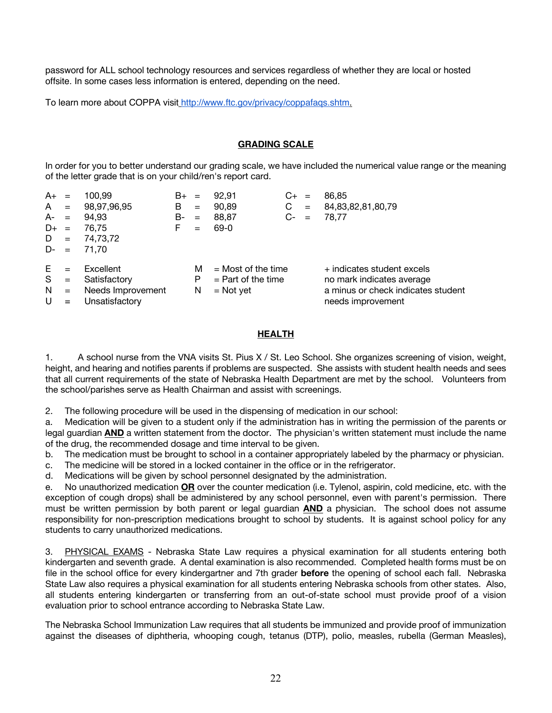password for ALL school technology resources and services regardless of whether they are local or hosted offsite. In some cases less information is entered, depending on the need.

To learn more about COPPA visit http://www.ftc.gov/privacy/coppafaqs.shtm.

## **GRADING SCALE**

In order for you to better understand our grading scale, we have included the numerical value range or the meaning of the letter grade that is on your child/ren's report card.

| $A+$ | $=$          | 100.99            | $B+ =$ |          | 92.91                | $C_{+}$ = |     | 86.85                              |
|------|--------------|-------------------|--------|----------|----------------------|-----------|-----|------------------------------------|
| A    | $=$          | 98,97,96,95       | В      | $=$      | 90,89                | C         | $=$ | 84,83,82,81,80,79                  |
| A-   | $\equiv$     | 94.93             | B-     | $\equiv$ | 88,87                | C-        | $=$ | 78,77                              |
| D+   | $=$          | 76.75             | F      | $=$      | 69-0                 |           |     |                                    |
| D    | $\alpha = 0$ | 74,73,72          |        |          |                      |           |     |                                    |
| D-   | $=$          | 71.70             |        |          |                      |           |     |                                    |
| E    | $=$          | Excellent         |        | м        | $=$ Most of the time |           |     | + indicates student excels         |
| S    | $=$          | Satisfactory      |        | P        | $=$ Part of the time |           |     | no mark indicates average          |
| N    | $=$          | Needs Improvement |        | N        | $=$ Not yet          |           |     | a minus or check indicates student |
| U    | $=$          | Unsatisfactory    |        |          |                      |           |     | needs improvement                  |

## **HEALTH**

1. A school nurse from the VNA visits St. Pius X / St. Leo School. She organizes screening of vision, weight, height, and hearing and notifies parents if problems are suspected. She assists with student health needs and sees that all current requirements of the state of Nebraska Health Department are met by the school. Volunteers from the school/parishes serve as Health Chairman and assist with screenings.

2. The following procedure will be used in the dispensing of medication in our school:

a. Medication will be given to a student only if the administration has in writing the permission of the parents or legal guardian **AND** a written statement from the doctor. The physician's written statement must include the name of the drug, the recommended dosage and time interval to be given.

b. The medication must be brought to school in a container appropriately labeled by the pharmacy or physician.

c. The medicine will be stored in a locked container in the office or in the refrigerator.

d. Medications will be given by school personnel designated by the administration.

e. No unauthorized medication **OR** over the counter medication (i.e. Tylenol, aspirin, cold medicine, etc. with the exception of cough drops) shall be administered by any school personnel, even with parent's permission. There must be written permission by both parent or legal guardian **AND** a physician. The school does not assume responsibility for non-prescription medications brought to school by students. It is against school policy for any students to carry unauthorized medications.

3. PHYSICAL EXAMS - Nebraska State Law requires a physical examination for all students entering both kindergarten and seventh grade. A dental examination is also recommended. Completed health forms must be on file in the school office for every kindergartner and 7th grader **before** the opening of school each fall. Nebraska State Law also requires a physical examination for all students entering Nebraska schools from other states. Also, all students entering kindergarten or transferring from an out-of-state school must provide proof of a vision evaluation prior to school entrance according to Nebraska State Law.

The Nebraska School Immunization Law requires that all students be immunized and provide proof of immunization against the diseases of diphtheria, whooping cough, tetanus (DTP), polio, measles, rubella (German Measles),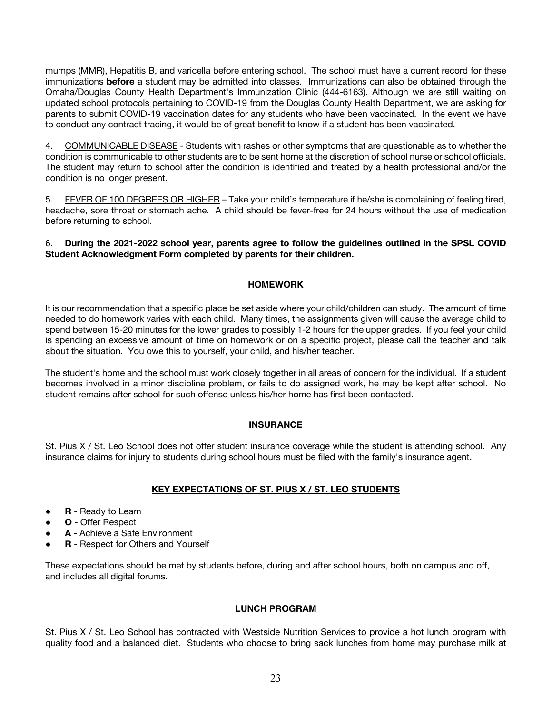mumps (MMR), Hepatitis B, and varicella before entering school. The school must have a current record for these immunizations **before** a student may be admitted into classes. Immunizations can also be obtained through the Omaha/Douglas County Health Department's Immunization Clinic (444-6163). Although we are still waiting on updated school protocols pertaining to COVID-19 from the Douglas County Health Department, we are asking for parents to submit COVID-19 vaccination dates for any students who have been vaccinated. In the event we have to conduct any contract tracing, it would be of great benefit to know if a student has been vaccinated.

4. COMMUNICABLE DISEASE - Students with rashes or other symptoms that are questionable as to whether the condition is communicable to other students are to be sent home at the discretion of school nurse or school officials. The student may return to school after the condition is identified and treated by a health professional and/or the condition is no longer present.

5. FEVER OF 100 DEGREES OR HIGHER – Take your child's temperature if he/she is complaining of feeling tired, headache, sore throat or stomach ache. A child should be fever-free for 24 hours without the use of medication before returning to school.

6. **During the 2021-2022 school year, parents agree to follow the guidelines outlined in the SPSL COVID Student Acknowledgment Form completed by parents for their children.**

## **HOMEWORK**

It is our recommendation that a specific place be set aside where your child/children can study. The amount of time needed to do homework varies with each child. Many times, the assignments given will cause the average child to spend between 15-20 minutes for the lower grades to possibly 1-2 hours for the upper grades. If you feel your child is spending an excessive amount of time on homework or on a specific project, please call the teacher and talk about the situation. You owe this to yourself, your child, and his/her teacher.

The student's home and the school must work closely together in all areas of concern for the individual. If a student becomes involved in a minor discipline problem, or fails to do assigned work, he may be kept after school. No student remains after school for such offense unless his/her home has first been contacted.

## **INSURANCE**

St. Pius X / St. Leo School does not offer student insurance coverage while the student is attending school. Any insurance claims for injury to students during school hours must be filed with the family's insurance agent.

## **KEY EXPECTATIONS OF ST. PIUS X / ST. LEO STUDENTS**

- **R** Ready to Learn
- **O**  Offer Respect
- A Achieve a Safe Environment
- **R** Respect for Others and Yourself

These expectations should be met by students before, during and after school hours, both on campus and off, and includes all digital forums.

## **LUNCH PROGRAM**

St. Pius X / St. Leo School has contracted with Westside Nutrition Services to provide a hot lunch program with quality food and a balanced diet. Students who choose to bring sack lunches from home may purchase milk at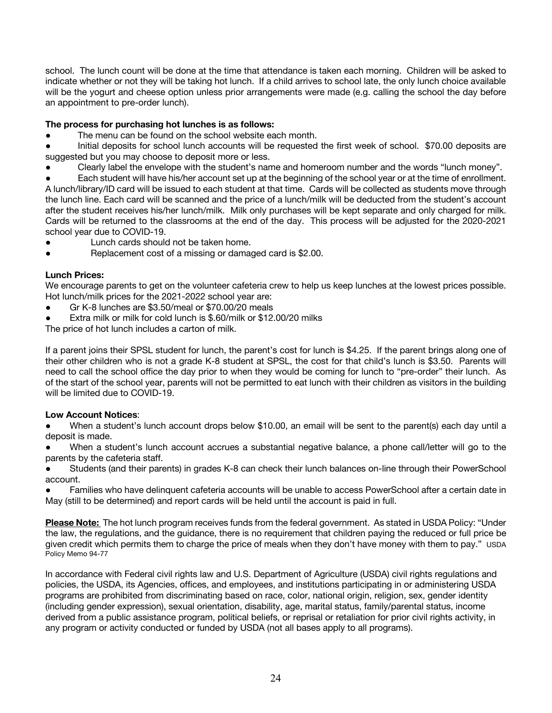school. The lunch count will be done at the time that attendance is taken each morning. Children will be asked to indicate whether or not they will be taking hot lunch. If a child arrives to school late, the only lunch choice available will be the yogurt and cheese option unless prior arrangements were made (e.g. calling the school the day before an appointment to pre-order lunch).

## **The process for purchasing hot lunches is as follows:**

The menu can be found on the school website each month.

Initial deposits for school lunch accounts will be requested the first week of school. \$70.00 deposits are suggested but you may choose to deposit more or less.

Clearly label the envelope with the student's name and homeroom number and the words "lunch money".

Each student will have his/her account set up at the beginning of the school year or at the time of enrollment. A lunch/library/ID card will be issued to each student at that time. Cards will be collected as students move through the lunch line. Each card will be scanned and the price of a lunch/milk will be deducted from the student's account after the student receives his/her lunch/milk. Milk only purchases will be kept separate and only charged for milk. Cards will be returned to the classrooms at the end of the day. This process will be adjusted for the 2020-2021 school year due to COVID-19.

- Lunch cards should not be taken home.
- Replacement cost of a missing or damaged card is \$2.00.

## **Lunch Prices:**

We encourage parents to get on the volunteer cafeteria crew to help us keep lunches at the lowest prices possible. Hot lunch/milk prices for the 2021-2022 school year are:

- Gr K-8 lunches are \$3.50/meal or \$70.00/20 meals
- Extra milk or milk for cold lunch is \$.60/milk or \$12.00/20 milks

The price of hot lunch includes a carton of milk.

If a parent joins their SPSL student for lunch, the parent's cost for lunch is \$4.25. If the parent brings along one of their other children who is not a grade K-8 student at SPSL, the cost for that child's lunch is \$3.50. Parents will need to call the school office the day prior to when they would be coming for lunch to "pre-order" their lunch. As of the start of the school year, parents will not be permitted to eat lunch with their children as visitors in the building will be limited due to COVID-19.

## **Low Account Notices**:

When a student's lunch account drops below \$10.00, an email will be sent to the parent(s) each day until a deposit is made.

When a student's lunch account accrues a substantial negative balance, a phone call/letter will go to the parents by the cafeteria staff.

Students (and their parents) in grades K-8 can check their lunch balances on-line through their PowerSchool account.

Families who have delinquent cafeteria accounts will be unable to access PowerSchool after a certain date in May (still to be determined) and report cards will be held until the account is paid in full.

**Please Note:** The hot lunch program receives funds from the federal government. As stated in USDA Policy: "Under the law, the regulations, and the guidance, there is no requirement that children paying the reduced or full price be given credit which permits them to charge the price of meals when they don't have money with them to pay." USDA Policy Memo 94-77

In accordance with Federal civil rights law and U.S. Department of Agriculture (USDA) civil rights regulations and policies, the USDA, its Agencies, offices, and employees, and institutions participating in or administering USDA programs are prohibited from discriminating based on race, color, national origin, religion, sex, gender identity (including gender expression), sexual orientation, disability, age, marital status, family/parental status, income derived from a public assistance program, political beliefs, or reprisal or retaliation for prior civil rights activity, in any program or activity conducted or funded by USDA (not all bases apply to all programs).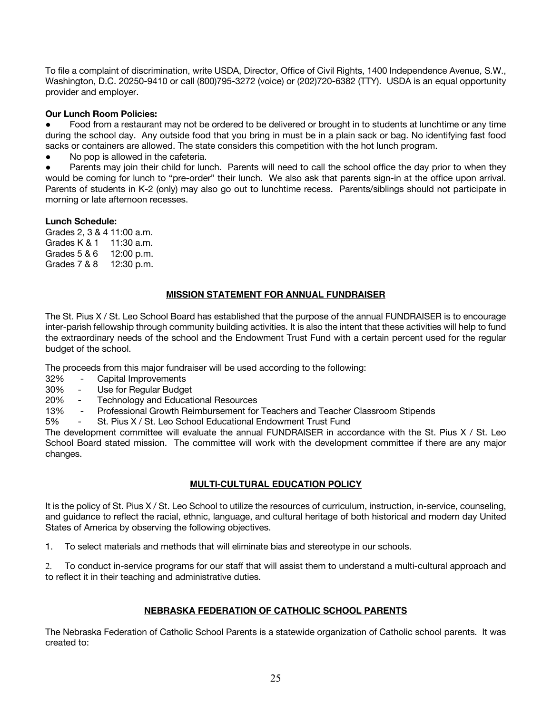To file a complaint of discrimination, write USDA, Director, Office of Civil Rights, 1400 Independence Avenue, S.W., Washington, D.C. 20250-9410 or call (800)795-3272 (voice) or (202)720-6382 (TTY). USDA is an equal opportunity provider and employer.

## **Our Lunch Room Policies:**

Food from a restaurant may not be ordered to be delivered or brought in to students at lunchtime or any time during the school day. Any outside food that you bring in must be in a plain sack or bag. No identifying fast food sacks or containers are allowed. The state considers this competition with the hot lunch program.

No pop is allowed in the cafeteria.

Parents may join their child for lunch. Parents will need to call the school office the day prior to when they would be coming for lunch to "pre-order" their lunch. We also ask that parents sign-in at the office upon arrival. Parents of students in K-2 (only) may also go out to lunchtime recess. Parents/siblings should not participate in morning or late afternoon recesses.

## **Lunch Schedule:**

| Grades 2, 3 & 4 11:00 a.m. |
|----------------------------|
| 11:30 a.m.                 |
| 12:00 p.m.                 |
| 12:30 p.m.                 |
|                            |

## **MISSION STATEMENT FOR ANNUAL FUNDRAISER**

The St. Pius X / St. Leo School Board has established that the purpose of the annual FUNDRAISER is to encourage inter-parish fellowship through community building activities. It is also the intent that these activities will help to fund the extraordinary needs of the school and the Endowment Trust Fund with a certain percent used for the regular budget of the school.

The proceeds from this major fundraiser will be used according to the following:

- 32% Capital Improvements
- 30% Use for Regular Budget
- 20% Technology and Educational Resources
- 13% Professional Growth Reimbursement for Teachers and Teacher Classroom Stipends
- 5% St. Pius X / St. Leo School Educational Endowment Trust Fund

The development committee will evaluate the annual FUNDRAISER in accordance with the St. Pius X / St. Leo School Board stated mission. The committee will work with the development committee if there are any major changes.

## **MULTI-CULTURAL EDUCATION POLICY**

It is the policy of St. Pius X / St. Leo School to utilize the resources of curriculum, instruction, in-service, counseling, and guidance to reflect the racial, ethnic, language, and cultural heritage of both historical and modern day United States of America by observing the following objectives.

1. To select materials and methods that will eliminate bias and stereotype in our schools.

2. To conduct in-service programs for our staff that will assist them to understand a multi-cultural approach and to reflect it in their teaching and administrative duties.

## **NEBRASKA FEDERATION OF CATHOLIC SCHOOL PARENTS**

The Nebraska Federation of Catholic School Parents is a statewide organization of Catholic school parents. It was created to: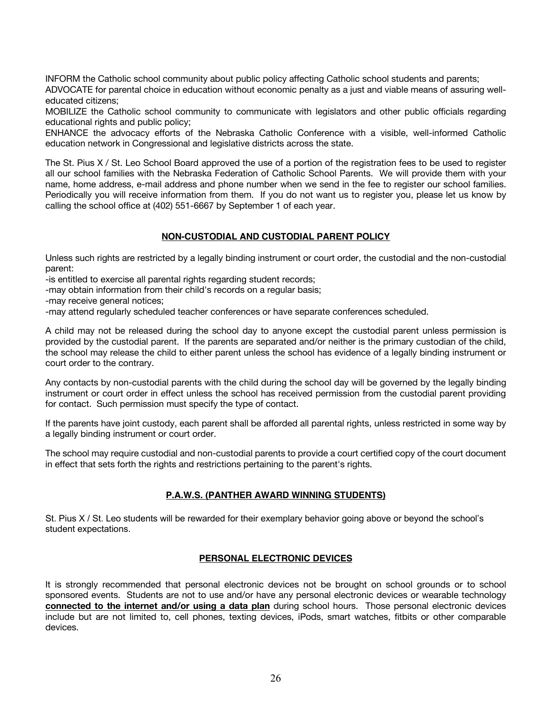INFORM the Catholic school community about public policy affecting Catholic school students and parents;

ADVOCATE for parental choice in education without economic penalty as a just and viable means of assuring welleducated citizens;

MOBILIZE the Catholic school community to communicate with legislators and other public officials regarding educational rights and public policy;

ENHANCE the advocacy efforts of the Nebraska Catholic Conference with a visible, well-informed Catholic education network in Congressional and legislative districts across the state.

The St. Pius X / St. Leo School Board approved the use of a portion of the registration fees to be used to register all our school families with the Nebraska Federation of Catholic School Parents. We will provide them with your name, home address, e-mail address and phone number when we send in the fee to register our school families. Periodically you will receive information from them. If you do not want us to register you, please let us know by calling the school office at (402) 551-6667 by September 1 of each year.

## **NON-CUSTODIAL AND CUSTODIAL PARENT POLICY**

Unless such rights are restricted by a legally binding instrument or court order, the custodial and the non-custodial parent:

-is entitled to exercise all parental rights regarding student records;

-may obtain information from their child's records on a regular basis;

-may receive general notices;

-may attend regularly scheduled teacher conferences or have separate conferences scheduled.

A child may not be released during the school day to anyone except the custodial parent unless permission is provided by the custodial parent. If the parents are separated and/or neither is the primary custodian of the child, the school may release the child to either parent unless the school has evidence of a legally binding instrument or court order to the contrary.

Any contacts by non-custodial parents with the child during the school day will be governed by the legally binding instrument or court order in effect unless the school has received permission from the custodial parent providing for contact. Such permission must specify the type of contact.

If the parents have joint custody, each parent shall be afforded all parental rights, unless restricted in some way by a legally binding instrument or court order.

The school may require custodial and non-custodial parents to provide a court certified copy of the court document in effect that sets forth the rights and restrictions pertaining to the parent's rights.

## **P.A.W.S. (PANTHER AWARD WINNING STUDENTS)**

St. Pius X / St. Leo students will be rewarded for their exemplary behavior going above or beyond the school's student expectations.

## **PERSONAL ELECTRONIC DEVICES**

It is strongly recommended that personal electronic devices not be brought on school grounds or to school sponsored events. Students are not to use and/or have any personal electronic devices or wearable technology **connected to the internet and/or using a data plan** during school hours. Those personal electronic devices include but are not limited to, cell phones, texting devices, iPods, smart watches, fitbits or other comparable devices.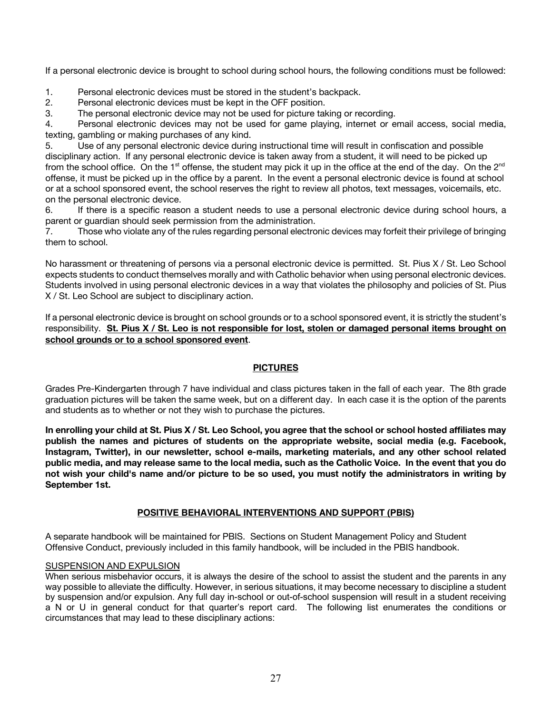If a personal electronic device is brought to school during school hours, the following conditions must be followed:

1. Personal electronic devices must be stored in the student's backpack.

2. Personal electronic devices must be kept in the OFF position.

3. The personal electronic device may not be used for picture taking or recording.

4. Personal electronic devices may not be used for game playing, internet or email access, social media, texting, gambling or making purchases of any kind.

5. Use of any personal electronic device during instructional time will result in confiscation and possible disciplinary action. If any personal electronic device is taken away from a student, it will need to be picked up from the school office. On the  $1<sup>st</sup>$  offense, the student may pick it up in the office at the end of the day. On the  $2<sup>nd</sup>$ offense, it must be picked up in the office by a parent. In the event a personal electronic device is found at school or at a school sponsored event, the school reserves the right to review all photos, text messages, voicemails, etc. on the personal electronic device.

6. If there is a specific reason a student needs to use a personal electronic device during school hours, a parent or guardian should seek permission from the administration.

7. Those who violate any of the rules regarding personal electronic devices may forfeit their privilege of bringing them to school.

No harassment or threatening of persons via a personal electronic device is permitted. St. Pius X / St. Leo School expects students to conduct themselves morally and with Catholic behavior when using personal electronic devices. Students involved in using personal electronic devices in a way that violates the philosophy and policies of St. Pius X / St. Leo School are subject to disciplinary action.

If a personal electronic device is brought on school grounds or to a school sponsored event, it is strictly the student's responsibility. **St. Pius X / St. Leo is not responsible for lost, stolen or damaged personal items brought on school grounds or to a school sponsored event**.

## **PICTURES**

Grades Pre-Kindergarten through 7 have individual and class pictures taken in the fall of each year. The 8th grade graduation pictures will be taken the same week, but on a different day. In each case it is the option of the parents and students as to whether or not they wish to purchase the pictures.

**In enrolling your child at St. Pius X / St. Leo School, you agree that the school or school hosted affiliates may publish the names and pictures of students on the appropriate website, social media (e.g. Facebook, Instagram, Twitter), in our newsletter, school e-mails, marketing materials, and any other school related public media, and may release same to the local media, such as the Catholic Voice. In the event that you do not wish your child's name and/or picture to be so used, you must notify the administrators in writing by September 1st.** 

## **POSITIVE BEHAVIORAL INTERVENTIONS AND SUPPORT (PBIS)**

A separate handbook will be maintained for PBIS. Sections on Student Management Policy and Student Offensive Conduct, previously included in this family handbook, will be included in the PBIS handbook.

## SUSPENSION AND EXPULSION

When serious misbehavior occurs, it is always the desire of the school to assist the student and the parents in any way possible to alleviate the difficulty. However, in serious situations, it may become necessary to discipline a student by suspension and/or expulsion. Any full day in-school or out-of-school suspension will result in a student receiving a N or U in general conduct for that quarter's report card. The following list enumerates the conditions or circumstances that may lead to these disciplinary actions: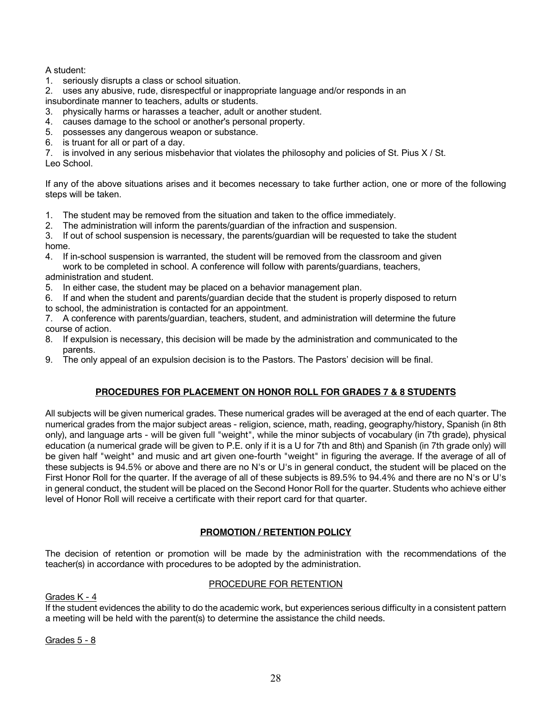## A student:

- 1. seriously disrupts a class or school situation.
- 2. uses any abusive, rude, disrespectful or inappropriate language and/or responds in an
- insubordinate manner to teachers, adults or students.
- 3. physically harms or harasses a teacher, adult or another student.
- 4. causes damage to the school or another's personal property.
- 5. possesses any dangerous weapon or substance.
- 6. is truant for all or part of a day.

7. is involved in any serious misbehavior that violates the philosophy and policies of St. Pius X / St. Leo School.

If any of the above situations arises and it becomes necessary to take further action, one or more of the following steps will be taken.

- 1. The student may be removed from the situation and taken to the office immediately.
- 2. The administration will inform the parents/guardian of the infraction and suspension.

3. If out of school suspension is necessary, the parents/guardian will be requested to take the student home.

4. If in-school suspension is warranted, the student will be removed from the classroom and given work to be completed in school. A conference will follow with parents/guardians, teachers,

administration and student.

5. In either case, the student may be placed on a behavior management plan.

6. If and when the student and parents/guardian decide that the student is properly disposed to return to school, the administration is contacted for an appointment.

7. A conference with parents/guardian, teachers, student, and administration will determine the future course of action.

- 8. If expulsion is necessary, this decision will be made by the administration and communicated to the parents.
- 9. The only appeal of an expulsion decision is to the Pastors. The Pastors' decision will be final.

## **PROCEDURES FOR PLACEMENT ON HONOR ROLL FOR GRADES 7 & 8 STUDENTS**

All subjects will be given numerical grades. These numerical grades will be averaged at the end of each quarter. The numerical grades from the major subject areas - religion, science, math, reading, geography/history, Spanish (in 8th only), and language arts - will be given full "weight", while the minor subjects of vocabulary (in 7th grade), physical education (a numerical grade will be given to P.E. only if it is a U for 7th and 8th) and Spanish (in 7th grade only) will be given half "weight" and music and art given one-fourth "weight" in figuring the average. If the average of all of these subjects is 94.5% or above and there are no N's or U's in general conduct, the student will be placed on the First Honor Roll for the quarter. If the average of all of these subjects is 89.5% to 94.4% and there are no N's or U's in general conduct, the student will be placed on the Second Honor Roll for the quarter. Students who achieve either level of Honor Roll will receive a certificate with their report card for that quarter.

## **PROMOTION / RETENTION POLICY**

The decision of retention or promotion will be made by the administration with the recommendations of the teacher(s) in accordance with procedures to be adopted by the administration.

## PROCEDURE FOR RETENTION

Grades K - 4

If the student evidences the ability to do the academic work, but experiences serious difficulty in a consistent pattern a meeting will be held with the parent(s) to determine the assistance the child needs.

Grades 5 - 8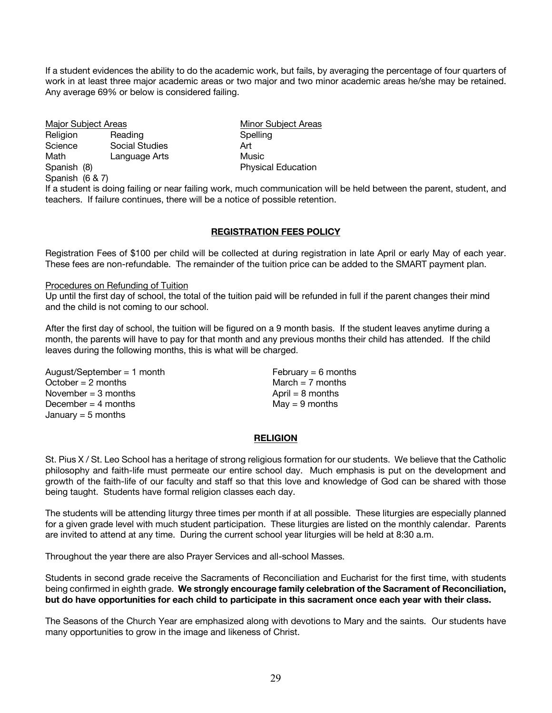If a student evidences the ability to do the academic work, but fails, by averaging the percentage of four quarters of work in at least three major academic areas or two major and two minor academic areas he/she may be retained. Any average 69% or below is considered failing.

Major Subject Areas Minor Subject Areas Religion Reading Spelling Science Social Studies **Art** Math Language Arts Music Spanish (8) Spanish (8) Physical Education

Spanish (6 & 7)

If a student is doing failing or near failing work, much communication will be held between the parent, student, and teachers. If failure continues, there will be a notice of possible retention.

## **REGISTRATION FEES POLICY**

Registration Fees of \$100 per child will be collected at during registration in late April or early May of each year. These fees are non-refundable. The remainder of the tuition price can be added to the SMART payment plan.

## Procedures on Refunding of Tuition

Up until the first day of school, the total of the tuition paid will be refunded in full if the parent changes their mind and the child is not coming to our school.

After the first day of school, the tuition will be figured on a 9 month basis. If the student leaves anytime during a month, the parents will have to pay for that month and any previous months their child has attended. If the child leaves during the following months, this is what will be charged.

August/September = 1 month February = 6 months<br>October = 2 months February = 6 months  $October = 2 months$ November  $= 3$  months  $\overline{A}$  and  $\overline{A}$  and  $\overline{A}$  and  $\overline{A}$  and  $\overline{A}$  and  $\overline{A}$  and  $\overline{A}$  and  $\overline{A}$  and  $\overline{A}$  and  $\overline{A}$  and  $\overline{A}$  and  $\overline{A}$  and  $\overline{A}$  and  $\overline{A}$  and  $\overline{A}$  and  $\overline$  $December = 4 months$  May = 9 months January  $= 5$  months

## **RELIGION**

St. Pius X / St. Leo School has a heritage of strong religious formation for our students. We believe that the Catholic philosophy and faith-life must permeate our entire school day. Much emphasis is put on the development and growth of the faith-life of our faculty and staff so that this love and knowledge of God can be shared with those being taught. Students have formal religion classes each day.

The students will be attending liturgy three times per month if at all possible. These liturgies are especially planned for a given grade level with much student participation. These liturgies are listed on the monthly calendar. Parents are invited to attend at any time. During the current school year liturgies will be held at 8:30 a.m.

Throughout the year there are also Prayer Services and all-school Masses.

Students in second grade receive the Sacraments of Reconciliation and Eucharist for the first time, with students being confirmed in eighth grade. **We strongly encourage family celebration of the Sacrament of Reconciliation, but do have opportunities for each child to participate in this sacrament once each year with their class.**

The Seasons of the Church Year are emphasized along with devotions to Mary and the saints. Our students have many opportunities to grow in the image and likeness of Christ.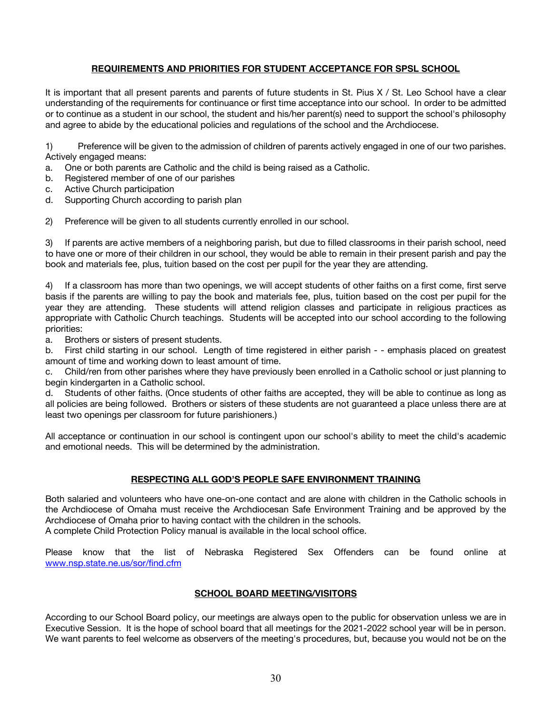## **REQUIREMENTS AND PRIORITIES FOR STUDENT ACCEPTANCE FOR SPSL SCHOOL**

It is important that all present parents and parents of future students in St. Pius X / St. Leo School have a clear understanding of the requirements for continuance or first time acceptance into our school. In order to be admitted or to continue as a student in our school, the student and his/her parent(s) need to support the school's philosophy and agree to abide by the educational policies and regulations of the school and the Archdiocese.

1) Preference will be given to the admission of children of parents actively engaged in one of our two parishes. Actively engaged means:

- a. One or both parents are Catholic and the child is being raised as a Catholic.
- b. Registered member of one of our parishes
- c. Active Church participation
- d. Supporting Church according to parish plan

2) Preference will be given to all students currently enrolled in our school.

3) If parents are active members of a neighboring parish, but due to filled classrooms in their parish school, need to have one or more of their children in our school, they would be able to remain in their present parish and pay the book and materials fee, plus, tuition based on the cost per pupil for the year they are attending.

4) If a classroom has more than two openings, we will accept students of other faiths on a first come, first serve basis if the parents are willing to pay the book and materials fee, plus, tuition based on the cost per pupil for the year they are attending. These students will attend religion classes and participate in religious practices as appropriate with Catholic Church teachings. Students will be accepted into our school according to the following priorities:

a. Brothers or sisters of present students.

b. First child starting in our school. Length of time registered in either parish - - emphasis placed on greatest amount of time and working down to least amount of time.

c. Child/ren from other parishes where they have previously been enrolled in a Catholic school or just planning to begin kindergarten in a Catholic school.

d. Students of other faiths. (Once students of other faiths are accepted, they will be able to continue as long as all policies are being followed. Brothers or sisters of these students are not guaranteed a place unless there are at least two openings per classroom for future parishioners.)

All acceptance or continuation in our school is contingent upon our school's ability to meet the child's academic and emotional needs. This will be determined by the administration.

## **RESPECTING ALL GOD'S PEOPLE SAFE ENVIRONMENT TRAINING**

Both salaried and volunteers who have one-on-one contact and are alone with children in the Catholic schools in the Archdiocese of Omaha must receive the Archdiocesan Safe Environment Training and be approved by the Archdiocese of Omaha prior to having contact with the children in the schools.

A complete Child Protection Policy manual is available in the local school office.

Please know that the list of Nebraska Registered Sex Offenders can be found online at www.nsp.state.ne.us/sor/find.cfm

## **SCHOOL BOARD MEETING/VISITORS**

According to our School Board policy, our meetings are always open to the public for observation unless we are in Executive Session. It is the hope of school board that all meetings for the 2021-2022 school year will be in person. We want parents to feel welcome as observers of the meeting's procedures, but, because you would not be on the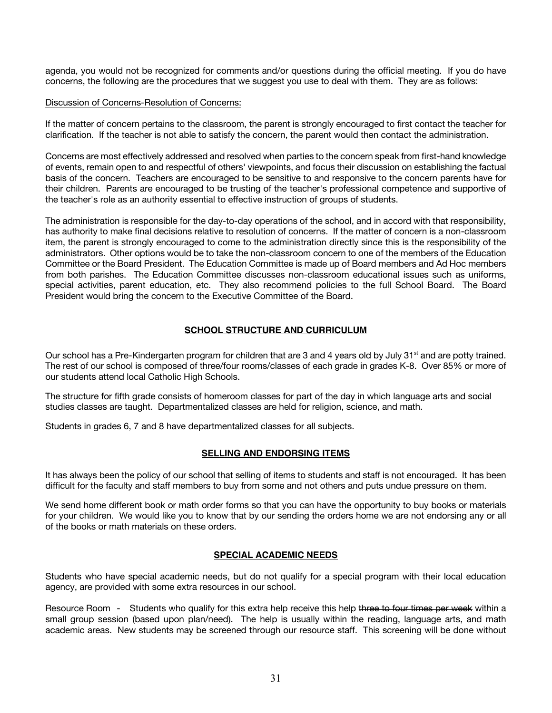agenda, you would not be recognized for comments and/or questions during the official meeting. If you do have concerns, the following are the procedures that we suggest you use to deal with them. They are as follows:

#### Discussion of Concerns-Resolution of Concerns:

If the matter of concern pertains to the classroom, the parent is strongly encouraged to first contact the teacher for clarification. If the teacher is not able to satisfy the concern, the parent would then contact the administration.

Concerns are most effectively addressed and resolved when parties to the concern speak from first-hand knowledge of events, remain open to and respectful of others' viewpoints, and focus their discussion on establishing the factual basis of the concern. Teachers are encouraged to be sensitive to and responsive to the concern parents have for their children. Parents are encouraged to be trusting of the teacher's professional competence and supportive of the teacher's role as an authority essential to effective instruction of groups of students.

The administration is responsible for the day-to-day operations of the school, and in accord with that responsibility, has authority to make final decisions relative to resolution of concerns. If the matter of concern is a non-classroom item, the parent is strongly encouraged to come to the administration directly since this is the responsibility of the administrators. Other options would be to take the non-classroom concern to one of the members of the Education Committee or the Board President. The Education Committee is made up of Board members and Ad Hoc members from both parishes. The Education Committee discusses non-classroom educational issues such as uniforms, special activities, parent education, etc. They also recommend policies to the full School Board. The Board President would bring the concern to the Executive Committee of the Board.

## **SCHOOL STRUCTURE AND CURRICULUM**

Our school has a Pre-Kindergarten program for children that are 3 and 4 years old by July 31<sup>st</sup> and are potty trained. The rest of our school is composed of three/four rooms/classes of each grade in grades K-8. Over 85% or more of our students attend local Catholic High Schools.

The structure for fifth grade consists of homeroom classes for part of the day in which language arts and social studies classes are taught. Departmentalized classes are held for religion, science, and math.

Students in grades 6, 7 and 8 have departmentalized classes for all subjects.

## **SELLING AND ENDORSING ITEMS**

It has always been the policy of our school that selling of items to students and staff is not encouraged. It has been difficult for the faculty and staff members to buy from some and not others and puts undue pressure on them.

We send home different book or math order forms so that you can have the opportunity to buy books or materials for your children. We would like you to know that by our sending the orders home we are not endorsing any or all of the books or math materials on these orders.

## **SPECIAL ACADEMIC NEEDS**

Students who have special academic needs, but do not qualify for a special program with their local education agency, are provided with some extra resources in our school.

Resource Room - Students who qualify for this extra help receive this help three to four times per week within a small group session (based upon plan/need). The help is usually within the reading, language arts, and math academic areas. New students may be screened through our resource staff. This screening will be done without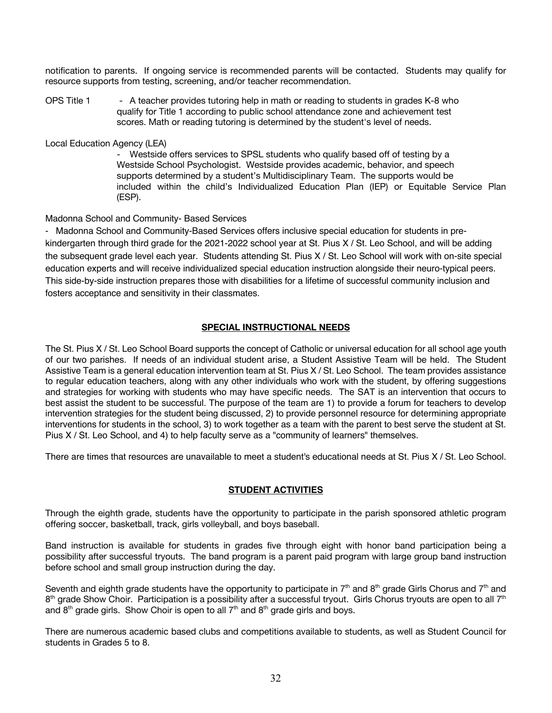notification to parents. If ongoing service is recommended parents will be contacted. Students may qualify for resource supports from testing, screening, and/or teacher recommendation.

OPS Title 1 - A teacher provides tutoring help in math or reading to students in grades K-8 who qualify for Title 1 according to public school attendance zone and achievement test scores. Math or reading tutoring is determined by the student's level of needs.

Local Education Agency (LEA)

- Westside offers services to SPSL students who qualify based off of testing by a Westside School Psychologist. Westside provides academic, behavior, and speech supports determined by a student's Multidisciplinary Team. The supports would be included within the child's Individualized Education Plan (IEP) or Equitable Service Plan (ESP).

## Madonna School and Community- Based Services

- Madonna School and Community-Based Services offers inclusive special education for students in prekindergarten through third grade for the 2021-2022 school year at St. Pius X / St. Leo School, and will be adding the subsequent grade level each year. Students attending St. Pius X / St. Leo School will work with on-site special education experts and will receive individualized special education instruction alongside their neuro-typical peers. This side-by-side instruction prepares those with disabilities for a lifetime of successful community inclusion and fosters acceptance and sensitivity in their classmates.

## **SPECIAL INSTRUCTIONAL NEEDS**

The St. Pius X / St. Leo School Board supports the concept of Catholic or universal education for all school age youth of our two parishes. If needs of an individual student arise, a Student Assistive Team will be held. The Student Assistive Team is a general education intervention team at St. Pius X / St. Leo School. The team provides assistance to regular education teachers, along with any other individuals who work with the student, by offering suggestions and strategies for working with students who may have specific needs. The SAT is an intervention that occurs to best assist the student to be successful. The purpose of the team are 1) to provide a forum for teachers to develop intervention strategies for the student being discussed, 2) to provide personnel resource for determining appropriate interventions for students in the school, 3) to work together as a team with the parent to best serve the student at St. Pius X / St. Leo School, and 4) to help faculty serve as a "community of learners" themselves.

There are times that resources are unavailable to meet a student's educational needs at St. Pius X / St. Leo School.

## **STUDENT ACTIVITIES**

Through the eighth grade, students have the opportunity to participate in the parish sponsored athletic program offering soccer, basketball, track, girls volleyball, and boys baseball.

Band instruction is available for students in grades five through eight with honor band participation being a possibility after successful tryouts. The band program is a parent paid program with large group band instruction before school and small group instruction during the day.

Seventh and eighth grade students have the opportunity to participate in  $7<sup>th</sup>$  and  $8<sup>th</sup>$  grade Girls Chorus and  $7<sup>th</sup>$  and  $8<sup>th</sup>$  grade Show Choir. Participation is a possibility after a successful tryout. Girls Chorus tryouts are open to all  $7<sup>th</sup>$ and  $8<sup>th</sup>$  grade girls. Show Choir is open to all  $7<sup>th</sup>$  and  $8<sup>th</sup>$  grade girls and boys.

There are numerous academic based clubs and competitions available to students, as well as Student Council for students in Grades 5 to 8.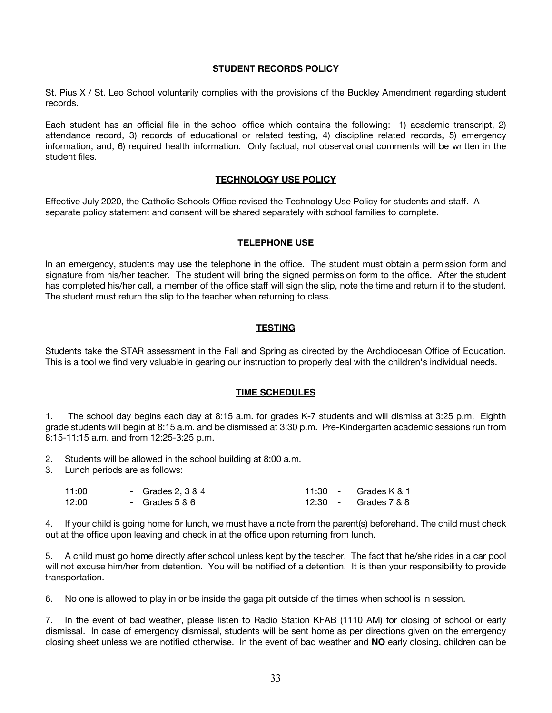#### **STUDENT RECORDS POLICY**

St. Pius X / St. Leo School voluntarily complies with the provisions of the Buckley Amendment regarding student records.

Each student has an official file in the school office which contains the following: 1) academic transcript, 2) attendance record, 3) records of educational or related testing, 4) discipline related records, 5) emergency information, and, 6) required health information. Only factual, not observational comments will be written in the student files.

#### **TECHNOLOGY USE POLICY**

Effective July 2020, the Catholic Schools Office revised the Technology Use Policy for students and staff. A separate policy statement and consent will be shared separately with school families to complete.

## **TELEPHONE USE**

In an emergency, students may use the telephone in the office. The student must obtain a permission form and signature from his/her teacher. The student will bring the signed permission form to the office. After the student has completed his/her call, a member of the office staff will sign the slip, note the time and return it to the student. The student must return the slip to the teacher when returning to class.

## **TESTING**

Students take the STAR assessment in the Fall and Spring as directed by the Archdiocesan Office of Education. This is a tool we find very valuable in gearing our instruction to properly deal with the children's individual needs.

## **TIME SCHEDULES**

1. The school day begins each day at 8:15 a.m. for grades K-7 students and will dismiss at 3:25 p.m. Eighth grade students will begin at 8:15 a.m. and be dismissed at 3:30 p.m. Pre-Kindergarten academic sessions run from 8:15-11:15 a.m. and from 12:25-3:25 p.m.

2. Students will be allowed in the school building at 8:00 a.m.

3. Lunch periods are as follows:

| 11:00 | - Grades 2, $3 & 4$ | 11:30 - Grades K & 1 |
|-------|---------------------|----------------------|
| 12:00 | - Grades 5 & 6      | 12:30 - Grades 7 & 8 |

4. If your child is going home for lunch, we must have a note from the parent(s) beforehand. The child must check out at the office upon leaving and check in at the office upon returning from lunch.

5. A child must go home directly after school unless kept by the teacher. The fact that he/she rides in a car pool will not excuse him/her from detention. You will be notified of a detention. It is then your responsibility to provide transportation.

6. No one is allowed to play in or be inside the gaga pit outside of the times when school is in session.

7. In the event of bad weather, please listen to Radio Station KFAB (1110 AM) for closing of school or early dismissal. In case of emergency dismissal, students will be sent home as per directions given on the emergency closing sheet unless we are notified otherwise. In the event of bad weather and **NO** early closing, children can be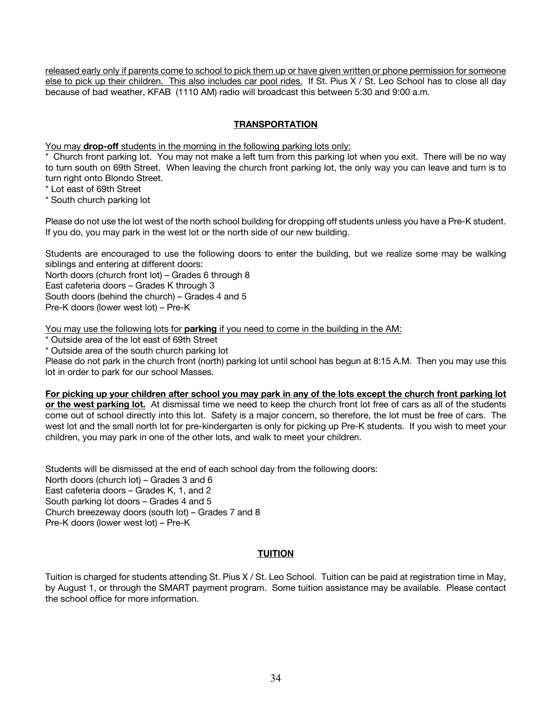released early only if parents come to school to pick them up or have given written or phone permission for someone else to pick up their children. This also includes car pool rides. If St. Pius X / St. Leo School has to close all day because of bad weather, KFAB (1110 AM) radio will broadcast this between 5:30 and 9:00 a.m.

## **TRANSPORTATION**

You may **drop-off** students in the morning in the following parking lots only:

Church front parking lot. You may not make a left turn from this parking lot when you exit. There will be no way to turn south on 69th Street. When leaving the church front parking lot, the only way you can leave and turn is to turn right onto Blondo Street.

\* Lot east of 69th Street

\* South church parking lot

Please do not use the lot west of the north school building for dropping off students unless you have a Pre-K student. If you do, you may park in the west lot or the north side of our new building.

Students are encouraged to use the following doors to enter the building, but we realize some may be walking siblings and entering at different doors:

North doors (church front lot) – Grades 6 through 8

East cafeteria doors – Grades K through 3

South doors (behind the church) – Grades 4 and 5

Pre-K doors (lower west lot) – Pre-K

You may use the following lots for **parking** if you need to come in the building in the AM:

\* Outside area of the lot east of 69th Street

\* Outside area of the south church parking lot

Please do not park in the church front (north) parking lot until school has begun at 8:15 A.M. Then you may use this lot in order to park for our school Masses.

**For picking up your children after school you may park in any of the lots except the church front parking lot or the west parking lot.** At dismissal time we need to keep the church front lot free of cars as all of the students come out of school directly into this lot. Safety is a major concern, so therefore, the lot must be free of cars. The west lot and the small north lot for pre-kindergarten is only for picking up Pre-K students. If you wish to meet your children, you may park in one of the other lots, and walk to meet your children.

Students will be dismissed at the end of each school day from the following doors: North doors (church lot) – Grades 3 and 6 East cafeteria doors – Grades K, 1, and 2 South parking lot doors – Grades 4 and 5 Church breezeway doors (south lot) – Grades 7 and 8 Pre-K doors (lower west lot) – Pre-K

## **TUITION**

Tuition is charged for students attending St. Pius X / St. Leo School. Tuition can be paid at registration time in May, by August 1, or through the SMART payment program. Some tuition assistance may be available. Please contact the school office for more information.